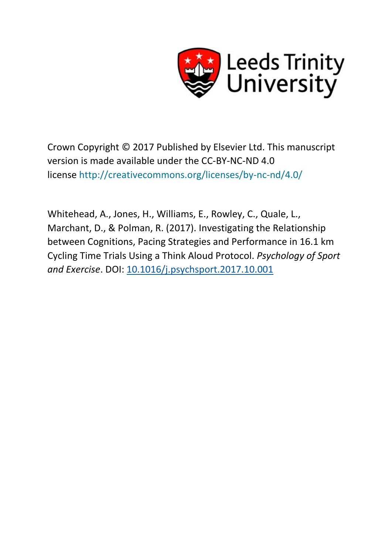

Crown Copyright © 2017 Published by Elsevier Ltd. This manuscript version is made available under the CC-BY-NC-ND 4.0 license <http://creativecommons.org/licenses/by-nc-nd/4.0/>

Whitehead, A., Jones, H., Williams, E., Rowley, C., Quale, L., Marchant, D., & Polman, R. (2017). Investigating the Relationship between Cognitions, Pacing Strategies and Performance in 16.1 km Cycling Time Trials Using a Think Aloud Protocol. *Psychology of Sport and Exercise*. DOI: [10.1016/j.psychsport.2017.10.001](http://dx.doi.org/10.1016/j.psychsport.2017.10.001)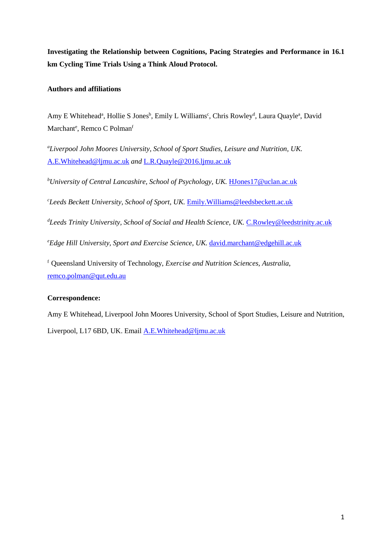**Investigating the Relationship between Cognitions, Pacing Strategies and Performance in 16.1 km Cycling Time Trials Using a Think Aloud Protocol.**

## **Authors and affiliations**

Amy E Whitehead<sup>a</sup>, Hollie S Jones<sup>b</sup>, Emily L Williams<sup>c</sup>, Chris Rowley<sup>d</sup>, Laura Quayle<sup>a</sup>, David Marchant<sup>e</sup>, Remco C Polman<sup>f</sup>

*a Liverpool John Moores University, School of Sport Studies, Leisure and Nutrition, UK.*  [A.E.Whitehead@ljmu.ac.uk](mailto:A.E.Whitehead@ljmu.ac.uk) *and* [L.R.Quayle@2016.ljmu.ac.uk](mailto:L.R.Quayle@2016.ljmu.ac.uk)

<sup>b</sup>University of Central Lancashire, School of Psychology, UK. <u>[HJones17@uclan.ac.uk](mailto:HJones17@uclan.ac.uk)</u>

*c Leeds Beckett University, School of Sport, UK.* [Emily.Williams@leedsbeckett.ac.uk](mailto:Emily.Williams@leedsbeckett.ac.uk)

<sup>d</sup>Leeds Trinity University, School of Social and Health Science, UK. <u>[C.Rowley@leedstrinity.ac.uk](mailto:C.Rowley@leedstrinity.ac.uk)</u>

<sup>e</sup>Edge Hill University, Sport and Exercise Science, UK. [david.marchant@edgehill.ac.uk](mailto:david.marchant@edgehill.ac.uk)

f Queensland University of Technology, *Exercise and Nutrition Sciences, Australia*, [remco.polman@qut.edu.au](mailto:remco.polman@qut.edu.au)

## **Correspondence:**

Amy E Whitehead, Liverpool John Moores University, School of Sport Studies, Leisure and Nutrition,

Liverpool, L17 6BD, UK. Email [A.E.Whitehead@ljmu.ac.uk](mailto:A.E.Whitehead@ljmu.ac.uk)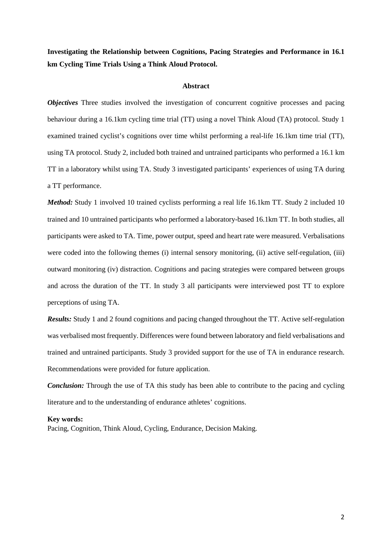**Investigating the Relationship between Cognitions, Pacing Strategies and Performance in 16.1 km Cycling Time Trials Using a Think Aloud Protocol.**

#### **Abstract**

*Objectives* Three studies involved the investigation of concurrent cognitive processes and pacing behaviour during a 16.1km cycling time trial (TT) using a novel Think Aloud (TA) protocol. Study 1 examined trained cyclist's cognitions over time whilst performing a real-life 16.1km time trial (TT), using TA protocol. Study 2, included both trained and untrained participants who performed a 16.1 km TT in a laboratory whilst using TA. Study 3 investigated participants' experiences of using TA during a TT performance.

*Method:* Study 1 involved 10 trained cyclists performing a real life 16.1km TT. Study 2 included 10 trained and 10 untrained participants who performed a laboratory-based 16.1km TT. In both studies, all participants were asked to TA. Time, power output, speed and heart rate were measured. Verbalisations were coded into the following themes (i) internal sensory monitoring, (ii) active self-regulation, (iii) outward monitoring (iv) distraction. Cognitions and pacing strategies were compared between groups and across the duration of the TT. In study 3 all participants were interviewed post TT to explore perceptions of using TA.

*Results:* Study 1 and 2 found cognitions and pacing changed throughout the TT. Active self-regulation was verbalised most frequently. Differences were found between laboratory and field verbalisations and trained and untrained participants. Study 3 provided support for the use of TA in endurance research. Recommendations were provided for future application.

*Conclusion:* Through the use of TA this study has been able to contribute to the pacing and cycling literature and to the understanding of endurance athletes' cognitions.

#### **Key words:**

Pacing, Cognition, Think Aloud, Cycling, Endurance, Decision Making.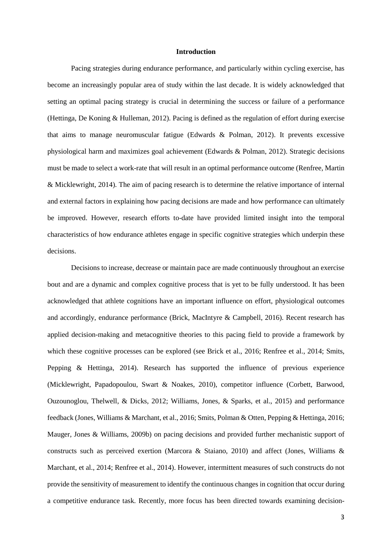#### **Introduction**

Pacing strategies during endurance performance, and particularly within cycling exercise, has become an increasingly popular area of study within the last decade. It is widely acknowledged that setting an optimal pacing strategy is crucial in determining the success or failure of a performance (Hettinga, De Koning & Hulleman, 2012). Pacing is defined as the regulation of effort during exercise that aims to manage neuromuscular fatigue (Edwards & Polman, 2012). It prevents excessive physiological harm and maximizes goal achievement (Edwards & Polman, 2012). Strategic decisions must be made to select a work-rate that will result in an optimal performance outcome (Renfree, Martin & Micklewright, 2014). The aim of pacing research is to determine the relative importance of internal and external factors in explaining how pacing decisions are made and how performance can ultimately be improved. However, research efforts to-date have provided limited insight into the temporal characteristics of how endurance athletes engage in specific cognitive strategies which underpin these decisions.

Decisions to increase, decrease or maintain pace are made continuously throughout an exercise bout and are a dynamic and complex cognitive process that is yet to be fully understood. It has been acknowledged that athlete cognitions have an important influence on effort, physiological outcomes and accordingly, endurance performance (Brick, MacIntyre & Campbell, 2016). Recent research has applied decision-making and metacognitive theories to this pacing field to provide a framework by which these cognitive processes can be explored (see Brick et al., 2016; Renfree et al., 2014; Smits, Pepping & Hettinga, 2014). Research has supported the influence of previous experience (Micklewright, Papadopoulou, Swart & Noakes, 2010), competitor influence (Corbett, Barwood, Ouzounoglou, Thelwell, & Dicks, 2012; Williams, Jones, & Sparks, et al., 2015) and performance feedback (Jones, Williams & Marchant, et al., 2016; Smits, Polman & Otten, Pepping & Hettinga, 2016; Mauger, Jones & Williams, 2009b) on pacing decisions and provided further mechanistic support of constructs such as perceived exertion (Marcora & Staiano, 2010) and affect (Jones, Williams & Marchant, et al., 2014; Renfree et al., 2014). However, intermittent measures of such constructs do not provide the sensitivity of measurement to identify the continuous changes in cognition that occur during a competitive endurance task. Recently, more focus has been directed towards examining decision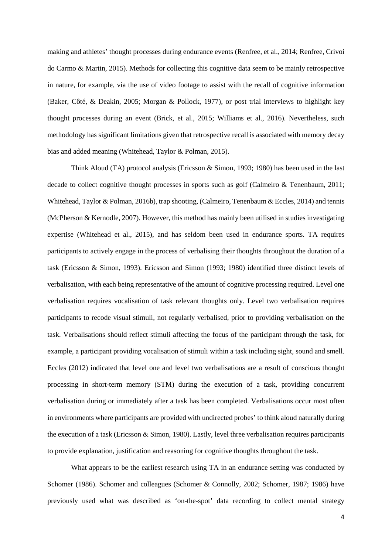making and athletes' thought processes during endurance events (Renfree, et al., 2014; Renfree, Crivoi do Carmo & Martin, 2015). Methods for collecting this cognitive data seem to be mainly retrospective in nature, for example, via the use of video footage to assist with the recall of cognitive information (Baker, Côté, & Deakin, 2005; Morgan & Pollock, 1977), or post trial interviews to highlight key thought processes during an event (Brick, et al., 2015; Williams et al., 2016). Nevertheless, such methodology has significant limitations given that retrospective recall is associated with memory decay bias and added meaning (Whitehead, Taylor & Polman, 2015).

Think Aloud (TA) protocol analysis (Ericsson & Simon, 1993; 1980) has been used in the last decade to collect cognitive thought processes in sports such as golf (Calmeiro & Tenenbaum, 2011; Whitehead, Taylor & Polman, 2016b), trap shooting, (Calmeiro, Tenenbaum & Eccles, 2014) and tennis (McPherson & Kernodle, 2007). However, this method has mainly been utilised in studies investigating expertise (Whitehead et al., 2015), and has seldom been used in endurance sports. TA requires participants to actively engage in the process of verbalising their thoughts throughout the duration of a task (Ericsson & Simon, 1993). Ericsson and Simon (1993; 1980) identified three distinct levels of verbalisation, with each being representative of the amount of cognitive processing required. Level one verbalisation requires vocalisation of task relevant thoughts only. Level two verbalisation requires participants to recode visual stimuli, not regularly verbalised, prior to providing verbalisation on the task. Verbalisations should reflect stimuli affecting the focus of the participant through the task, for example, a participant providing vocalisation of stimuli within a task including sight, sound and smell. Eccles (2012) indicated that level one and level two verbalisations are a result of conscious thought processing in short-term memory (STM) during the execution of a task, providing concurrent verbalisation during or immediately after a task has been completed. Verbalisations occur most often in environments where participants are provided with undirected probes' to think aloud naturally during the execution of a task (Ericsson & Simon, 1980). Lastly, level three verbalisation requires participants to provide explanation, justification and reasoning for cognitive thoughts throughout the task.

What appears to be the earliest research using TA in an endurance setting was conducted by Schomer (1986). Schomer and colleagues (Schomer & Connolly, 2002; Schomer, 1987; 1986) have previously used what was described as 'on-the-spot' data recording to collect mental strategy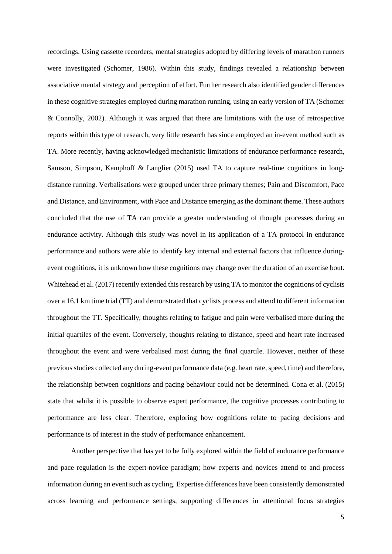recordings. Using cassette recorders, mental strategies adopted by differing levels of marathon runners were investigated (Schomer, 1986). Within this study, findings revealed a relationship between associative mental strategy and perception of effort. Further research also identified gender differences in these cognitive strategies employed during marathon running, using an early version of TA (Schomer & Connolly, 2002). Although it was argued that there are limitations with the use of retrospective reports within this type of research, very little research has since employed an in-event method such as TA. More recently, having acknowledged mechanistic limitations of endurance performance research, Samson, Simpson, Kamphoff & Langlier (2015) used TA to capture real-time cognitions in longdistance running. Verbalisations were grouped under three primary themes; Pain and Discomfort, Pace and Distance, and Environment, with Pace and Distance emerging as the dominant theme. These authors concluded that the use of TA can provide a greater understanding of thought processes during an endurance activity. Although this study was novel in its application of a TA protocol in endurance performance and authors were able to identify key internal and external factors that influence duringevent cognitions, it is unknown how these cognitions may change over the duration of an exercise bout. Whitehead et al. (2017) recently extended this research by using TA to monitor the cognitions of cyclists over a 16.1 km time trial (TT) and demonstrated that cyclists process and attend to different information throughout the TT. Specifically, thoughts relating to fatigue and pain were verbalised more during the initial quartiles of the event. Conversely, thoughts relating to distance, speed and heart rate increased throughout the event and were verbalised most during the final quartile. However, neither of these previous studies collected any during-event performance data (e.g. heart rate, speed, time) and therefore, the relationship between cognitions and pacing behaviour could not be determined. Cona et al. (2015) state that whilst it is possible to observe expert performance, the cognitive processes contributing to performance are less clear. Therefore, exploring how cognitions relate to pacing decisions and performance is of interest in the study of performance enhancement.

Another perspective that has yet to be fully explored within the field of endurance performance and pace regulation is the expert-novice paradigm; how experts and novices attend to and process information during an event such as cycling. Expertise differences have been consistently demonstrated across learning and performance settings, supporting differences in attentional focus strategies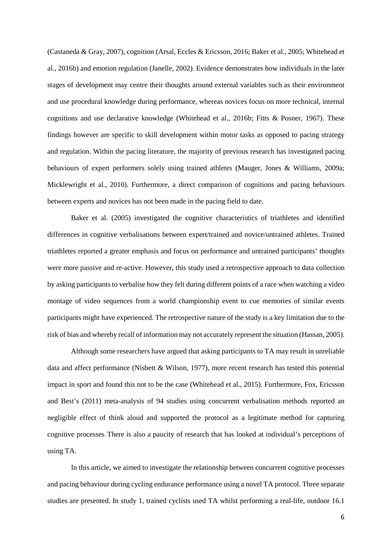(Castaneda & Gray, 2007), cognition (Arsal, Eccles & Ericsson, 2016; Baker et al., 2005; Whitehead et al., 2016b) and emotion regulation (Janelle, 2002). Evidence demonstrates how individuals in the later stages of development may centre their thoughts around external variables such as their environment and use procedural knowledge during performance, whereas novices focus on more technical, internal cognitions and use declarative knowledge (Whitehead et al., 2016b; Fitts & Posner, 1967). These findings however are specific to skill development within motor tasks as opposed to pacing strategy and regulation. Within the pacing literature, the majority of previous research has investigated pacing behaviours of expert performers solely using trained athletes (Mauger, Jones & Williams, 2009a; Micklewright et al., 2010). Furthermore, a direct comparison of cognitions and pacing behaviours between experts and novices has not been made in the pacing field to date.

Baker et al. (2005) investigated the cognitive characteristics of triathletes and identified differences in cognitive verbalisations between expert/trained and novice/untrained athletes. Trained triathletes reported a greater emphasis and focus on performance and untrained participants' thoughts were more passive and re-active. However, this study used a retrospective approach to data collection by asking participants to verbalise how they felt during different points of a race when watching a video montage of video sequences from a world championship event to cue memories of similar events participants might have experienced. The retrospective nature of the study is a key limitation due to the risk of bias and whereby recall of information may not accurately represent the situation (Hassan, 2005).

Although some researchers have argued that asking participants to TA may result in unreliable data and affect performance (Nisbett & Wilson, 1977), more recent research has tested this potential impact in sport and found this not to be the case (Whitehead et al., 2015). Furthermore, Fox, Ericsson and Best's (2011) meta-analysis of 94 studies using concurrent verbalisation methods reported an negligible effect of think aloud and supported the protocol as a legitimate method for capturing cognitive processes. There is also a paucity of research that has looked at individual's perceptions of using TA.

In this article, we aimed to investigate the relationship between concurrent cognitive processes and pacing behaviour during cycling endurance performance using a novel TA protocol. Three separate studies are presented. In study 1, trained cyclists used TA whilst performing a real-life, outdoor 16.1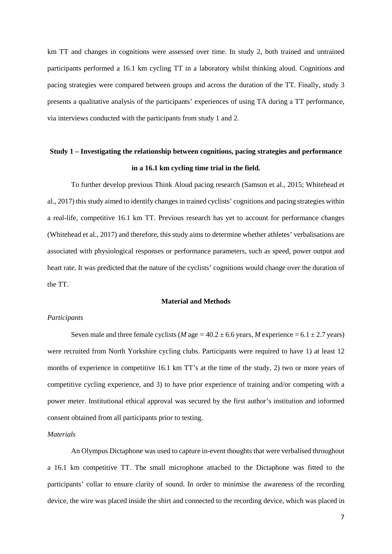km TT and changes in cognitions were assessed over time. In study 2, both trained and untrained participants performed a 16.1 km cycling TT in a laboratory whilst thinking aloud. Cognitions and pacing strategies were compared between groups and across the duration of the TT. Finally, study 3 presents a qualitative analysis of the participants' experiences of using TA during a TT performance, via interviews conducted with the participants from study 1 and 2.

## **Study 1 – Investigating the relationship between cognitions, pacing strategies and performance in a 16.1 km cycling time trial in the field.**

To further develop previous Think Aloud pacing research (Samson et al., 2015; Whitehead et al., 2017) this study aimed to identify changes in trained cyclists' cognitions and pacing strategies within a real-life, competitive 16.1 km TT. Previous research has yet to account for performance changes (Whitehead et al., 2017) and therefore, this study aims to determine whether athletes' verbalisations are associated with physiological responses or performance parameters, such as speed, power output and heart rate. It was predicted that the nature of the cyclists' cognitions would change over the duration of the TT.

## **Material and Methods**

#### *Participants*

Seven male and three female cyclists (*M* age  $= 40.2 \pm 6.6$  years, *M* experience  $= 6.1 \pm 2.7$  years) were recruited from North Yorkshire cycling clubs. Participants were required to have 1) at least 12 months of experience in competitive 16.1 km TT's at the time of the study, 2) two or more years of competitive cycling experience, and 3) to have prior experience of training and/or competing with a power meter. Institutional ethical approval was secured by the first author's institution and informed consent obtained from all participants prior to testing.

#### *Materials*

An Olympus Dictaphone was used to capture in-event thoughts that were verbalised throughout a 16.1 km competitive TT. The small microphone attached to the Dictaphone was fitted to the participants' collar to ensure clarity of sound. In order to minimise the awareness of the recording device, the wire was placed inside the shirt and connected to the recording device, which was placed in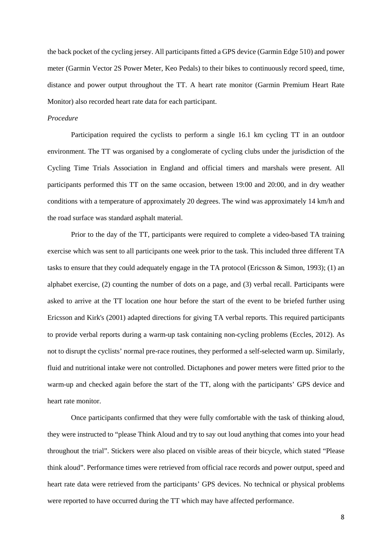the back pocket of the cycling jersey. All participants fitted a GPS device (Garmin Edge 510) and power meter (Garmin Vector 2S Power Meter, Keo Pedals) to their bikes to continuously record speed, time, distance and power output throughout the TT. A heart rate monitor (Garmin Premium Heart Rate Monitor) also recorded heart rate data for each participant.

#### *Procedure*

Participation required the cyclists to perform a single 16.1 km cycling TT in an outdoor environment. The TT was organised by a conglomerate of cycling clubs under the jurisdiction of the Cycling Time Trials Association in England and official timers and marshals were present. All participants performed this TT on the same occasion, between 19:00 and 20:00, and in dry weather conditions with a temperature of approximately 20 degrees. The wind was approximately 14 km/h and the road surface was standard asphalt material.

Prior to the day of the TT, participants were required to complete a video-based TA training exercise which was sent to all participants one week prior to the task. This included three different TA tasks to ensure that they could adequately engage in the TA protocol (Ericsson & Simon, 1993); (1) an alphabet exercise, (2) counting the number of dots on a page, and (3) verbal recall. Participants were asked to arrive at the TT location one hour before the start of the event to be briefed further using Ericsson and Kirk's (2001) adapted directions for giving TA verbal reports. This required participants to provide verbal reports during a warm-up task containing non-cycling problems (Eccles, 2012). As not to disrupt the cyclists' normal pre-race routines, they performed a self-selected warm up. Similarly, fluid and nutritional intake were not controlled. Dictaphones and power meters were fitted prior to the warm-up and checked again before the start of the TT, along with the participants' GPS device and heart rate monitor.

Once participants confirmed that they were fully comfortable with the task of thinking aloud, they were instructed to "please Think Aloud and try to say out loud anything that comes into your head throughout the trial". Stickers were also placed on visible areas of their bicycle, which stated "Please think aloud". Performance times were retrieved from official race records and power output, speed and heart rate data were retrieved from the participants' GPS devices. No technical or physical problems were reported to have occurred during the TT which may have affected performance.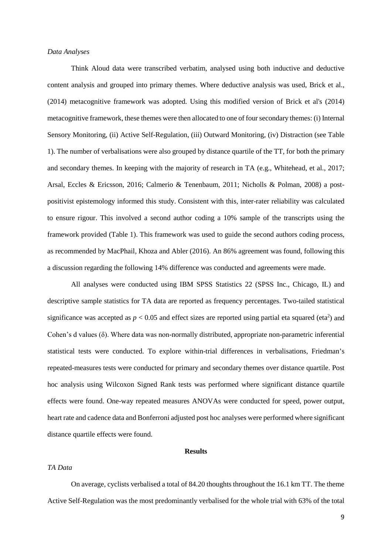#### *Data Analyses*

Think Aloud data were transcribed verbatim, analysed using both inductive and deductive content analysis and grouped into primary themes. Where deductive analysis was used, Brick et al., (2014) metacognitive framework was adopted. Using this modified version of Brick et al's (2014) metacognitive framework, these themes were then allocated to one of four secondary themes: (i) Internal Sensory Monitoring, (ii) Active Self-Regulation, (iii) Outward Monitoring, (iv) Distraction (see Table 1). The number of verbalisations were also grouped by distance quartile of the TT, for both the primary and secondary themes. In keeping with the majority of research in TA (e.g., Whitehead, et al., 2017; Arsal, Eccles & Ericsson, 2016; Calmerio & Tenenbaum, 2011; Nicholls & Polman, 2008) a postpositivist epistemology informed this study. Consistent with this, inter-rater reliability was calculated to ensure rigour. This involved a second author coding a 10% sample of the transcripts using the framework provided (Table 1). This framework was used to guide the second authors coding process, as recommended by MacPhail, Khoza and Abler (2016). An 86% agreement was found, following this a discussion regarding the following 14% difference was conducted and agreements were made.

All analyses were conducted using IBM SPSS Statistics 22 (SPSS Inc., Chicago, IL) and descriptive sample statistics for TA data are reported as frequency percentages. Two-tailed statistical significance was accepted as  $p < 0.05$  and effect sizes are reported using partial eta squared (eta<sup>2</sup>) and Cohen's d values (δ). Where data was non-normally distributed, appropriate non-parametric inferential statistical tests were conducted. To explore within-trial differences in verbalisations, Friedman's repeated-measures tests were conducted for primary and secondary themes over distance quartile. Post hoc analysis using Wilcoxon Signed Rank tests was performed where significant distance quartile effects were found. One-way repeated measures ANOVAs were conducted for speed, power output, heart rate and cadence data and Bonferroni adjusted post hoc analyses were performed where significant distance quartile effects were found.

## **Results**

## *TA Data*

On average, cyclists verbalised a total of 84.20 thoughts throughout the 16.1 km TT. The theme Active Self-Regulation was the most predominantly verbalised for the whole trial with 63% of the total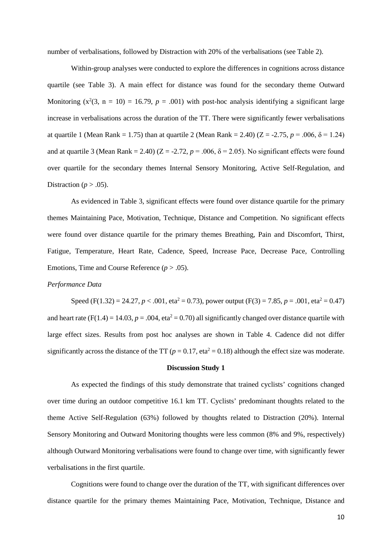number of verbalisations, followed by Distraction with 20% of the verbalisations (see Table 2).

Within-group analyses were conducted to explore the differences in cognitions across distance quartile (see Table 3). A main effect for distance was found for the secondary theme Outward Monitoring  $(x^2(3, n = 10) = 16.79, p = .001)$  with post-hoc analysis identifying a significant large increase in verbalisations across the duration of the TT. There were significantly fewer verbalisations at quartile 1 (Mean Rank = 1.75) than at quartile 2 (Mean Rank = 2.40) ( $Z = -2.75$ ,  $p = .006$ ,  $\delta = 1.24$ ) and at quartile 3 (Mean Rank = 2.40) ( $Z = -2.72$ ,  $p = .006$ ,  $\delta = 2.05$ ). No significant effects were found over quartile for the secondary themes Internal Sensory Monitoring, Active Self-Regulation, and Distraction ( $p > .05$ ).

As evidenced in Table 3, significant effects were found over distance quartile for the primary themes Maintaining Pace, Motivation, Technique, Distance and Competition. No significant effects were found over distance quartile for the primary themes Breathing, Pain and Discomfort, Thirst, Fatigue, Temperature, Heart Rate, Cadence, Speed, Increase Pace, Decrease Pace, Controlling Emotions, Time and Course Reference  $(p > .05)$ .

## *Performance Data*

Speed (F(1.32) = 24.27,  $p < .001$ , eta<sup>2</sup> = 0.73), power output (F(3) = 7.85,  $p = .001$ , eta<sup>2</sup> = 0.47) and heart rate (F(1.4) = 14.03,  $p = .004$ , eta<sup>2</sup> = 0.70) all significantly changed over distance quartile with large effect sizes. Results from post hoc analyses are shown in Table 4. Cadence did not differ significantly across the distance of the TT ( $p = 0.17$ , eta<sup>2</sup> = 0.18) although the effect size was moderate.

#### **Discussion Study 1**

As expected the findings of this study demonstrate that trained cyclists' cognitions changed over time during an outdoor competitive 16.1 km TT. Cyclists' predominant thoughts related to the theme Active Self-Regulation (63%) followed by thoughts related to Distraction (20%). Internal Sensory Monitoring and Outward Monitoring thoughts were less common (8% and 9%, respectively) although Outward Monitoring verbalisations were found to change over time, with significantly fewer verbalisations in the first quartile.

Cognitions were found to change over the duration of the TT, with significant differences over distance quartile for the primary themes Maintaining Pace, Motivation, Technique, Distance and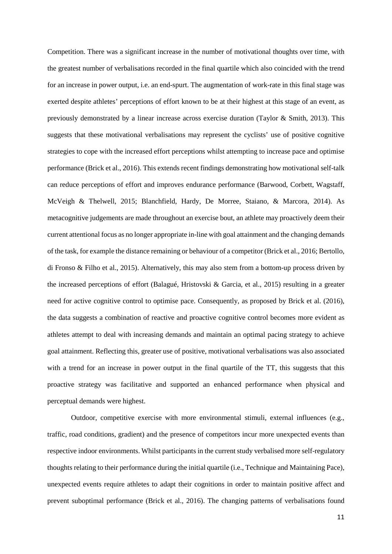Competition. There was a significant increase in the number of motivational thoughts over time, with the greatest number of verbalisations recorded in the final quartile which also coincided with the trend for an increase in power output, i.e. an end-spurt. The augmentation of work-rate in this final stage was exerted despite athletes' perceptions of effort known to be at their highest at this stage of an event, as previously demonstrated by a linear increase across exercise duration (Taylor & Smith, 2013). This suggests that these motivational verbalisations may represent the cyclists' use of positive cognitive strategies to cope with the increased effort perceptions whilst attempting to increase pace and optimise performance (Brick et al., 2016). This extends recent findings demonstrating how motivational self-talk can reduce perceptions of effort and improves endurance performance (Barwood, Corbett, Wagstaff, McVeigh & Thelwell, 2015; Blanchfield, Hardy, De Morree, Staiano, & Marcora, 2014). As metacognitive judgements are made throughout an exercise bout, an athlete may proactively deem their current attentional focus as no longer appropriate in-line with goal attainment and the changing demands of the task, for example the distance remaining or behaviour of a competitor (Brick et al., 2016; Bertollo, di Fronso & Filho et al., 2015). Alternatively, this may also stem from a bottom-up process driven by the increased perceptions of effort (Balagué, Hristovski & Garcia, et al., 2015) resulting in a greater need for active cognitive control to optimise pace. Consequently, as proposed by Brick et al. (2016), the data suggests a combination of reactive and proactive cognitive control becomes more evident as athletes attempt to deal with increasing demands and maintain an optimal pacing strategy to achieve goal attainment. Reflecting this, greater use of positive, motivational verbalisations was also associated with a trend for an increase in power output in the final quartile of the TT, this suggests that this proactive strategy was facilitative and supported an enhanced performance when physical and perceptual demands were highest.

Outdoor, competitive exercise with more environmental stimuli, external influences (e.g., traffic, road conditions, gradient) and the presence of competitors incur more unexpected events than respective indoor environments. Whilst participants in the current study verbalised more self-regulatory thoughts relating to their performance during the initial quartile (i.e., Technique and Maintaining Pace), unexpected events require athletes to adapt their cognitions in order to maintain positive affect and prevent suboptimal performance (Brick et al., 2016). The changing patterns of verbalisations found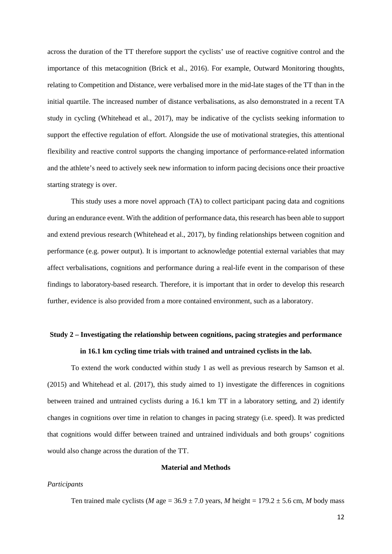across the duration of the TT therefore support the cyclists' use of reactive cognitive control and the importance of this metacognition (Brick et al., 2016). For example, Outward Monitoring thoughts, relating to Competition and Distance, were verbalised more in the mid-late stages of the TT than in the initial quartile. The increased number of distance verbalisations, as also demonstrated in a recent TA study in cycling (Whitehead et al., 2017), may be indicative of the cyclists seeking information to support the effective regulation of effort. Alongside the use of motivational strategies, this attentional flexibility and reactive control supports the changing importance of performance-related information and the athlete's need to actively seek new information to inform pacing decisions once their proactive starting strategy is over.

This study uses a more novel approach (TA) to collect participant pacing data and cognitions during an endurance event. With the addition of performance data, this research has been able to support and extend previous research (Whitehead et al., 2017), by finding relationships between cognition and performance (e.g. power output). It is important to acknowledge potential external variables that may affect verbalisations, cognitions and performance during a real-life event in the comparison of these findings to laboratory-based research. Therefore, it is important that in order to develop this research further, evidence is also provided from a more contained environment, such as a laboratory.

# **Study 2 – Investigating the relationship between cognitions, pacing strategies and performance in 16.1 km cycling time trials with trained and untrained cyclists in the lab.**

To extend the work conducted within study 1 as well as previous research by Samson et al. (2015) and Whitehead et al. (2017), this study aimed to 1) investigate the differences in cognitions between trained and untrained cyclists during a 16.1 km TT in a laboratory setting, and 2) identify changes in cognitions over time in relation to changes in pacing strategy (i.e. speed). It was predicted that cognitions would differ between trained and untrained individuals and both groups' cognitions would also change across the duration of the TT.

## **Material and Methods**

#### *Participants*

Ten trained male cyclists (*M* age =  $36.9 \pm 7.0$  years, *M* height =  $179.2 \pm 5.6$  cm, *M* body mass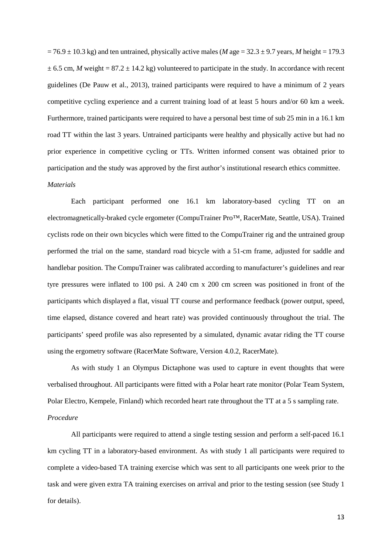$= 76.9 \pm 10.3$  kg) and ten untrained, physically active males (*M* age  $= 32.3 \pm 9.7$  years, *M* height  $= 179.3$  $\pm$  6.5 cm, *M* weight = 87.2  $\pm$  14.2 kg) volunteered to participate in the study. In accordance with recent guidelines (De Pauw et al., 2013), trained participants were required to have a minimum of 2 years competitive cycling experience and a current training load of at least 5 hours and/or 60 km a week. Furthermore, trained participants were required to have a personal best time of sub 25 min in a 16.1 km road TT within the last 3 years. Untrained participants were healthy and physically active but had no prior experience in competitive cycling or TTs. Written informed consent was obtained prior to participation and the study was approved by the first author's institutional research ethics committee. *Materials*

Each participant performed one 16.1 km laboratory-based cycling TT on an electromagnetically-braked cycle ergometer (CompuTrainer Pro™, RacerMate, Seattle, USA). Trained cyclists rode on their own bicycles which were fitted to the CompuTrainer rig and the untrained group performed the trial on the same, standard road bicycle with a 51-cm frame, adjusted for saddle and handlebar position. The CompuTrainer was calibrated according to manufacturer's guidelines and rear tyre pressures were inflated to 100 psi. A 240 cm x 200 cm screen was positioned in front of the participants which displayed a flat, visual TT course and performance feedback (power output, speed, time elapsed, distance covered and heart rate) was provided continuously throughout the trial. The participants' speed profile was also represented by a simulated, dynamic avatar riding the TT course using the ergometry software (RacerMate Software, Version 4.0.2, RacerMate).

As with study 1 an Olympus Dictaphone was used to capture in event thoughts that were verbalised throughout. All participants were fitted with a Polar heart rate monitor (Polar Team System, Polar Electro, Kempele, Finland) which recorded heart rate throughout the TT at a 5 s sampling rate. *Procedure*

All participants were required to attend a single testing session and perform a self-paced 16.1 km cycling TT in a laboratory-based environment. As with study 1 all participants were required to complete a video-based TA training exercise which was sent to all participants one week prior to the task and were given extra TA training exercises on arrival and prior to the testing session (see Study 1 for details).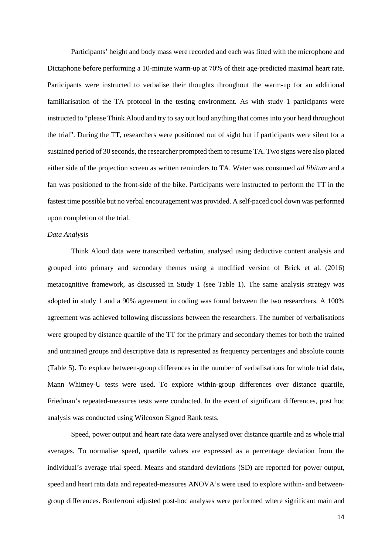Participants' height and body mass were recorded and each was fitted with the microphone and Dictaphone before performing a 10-minute warm-up at 70% of their age-predicted maximal heart rate. Participants were instructed to verbalise their thoughts throughout the warm-up for an additional familiarisation of the TA protocol in the testing environment. As with study 1 participants were instructed to "please Think Aloud and try to say out loud anything that comes into your head throughout the trial". During the TT, researchers were positioned out of sight but if participants were silent for a sustained period of 30 seconds, the researcher prompted them to resume TA. Two signs were also placed either side of the projection screen as written reminders to TA. Water was consumed *ad libitum* and a fan was positioned to the front-side of the bike. Participants were instructed to perform the TT in the fastest time possible but no verbal encouragement was provided. A self-paced cool down was performed upon completion of the trial.

#### *Data Analysis*

Think Aloud data were transcribed verbatim, analysed using deductive content analysis and grouped into primary and secondary themes using a modified version of Brick et al. (2016) metacognitive framework, as discussed in Study 1 (see Table 1). The same analysis strategy was adopted in study 1 and a 90% agreement in coding was found between the two researchers. A 100% agreement was achieved following discussions between the researchers. The number of verbalisations were grouped by distance quartile of the TT for the primary and secondary themes for both the trained and untrained groups and descriptive data is represented as frequency percentages and absolute counts (Table 5). To explore between-group differences in the number of verbalisations for whole trial data, Mann Whitney-U tests were used. To explore within-group differences over distance quartile, Friedman's repeated-measures tests were conducted. In the event of significant differences, post hoc analysis was conducted using Wilcoxon Signed Rank tests.

Speed, power output and heart rate data were analysed over distance quartile and as whole trial averages. To normalise speed, quartile values are expressed as a percentage deviation from the individual's average trial speed. Means and standard deviations (SD) are reported for power output, speed and heart rata data and repeated-measures ANOVA's were used to explore within- and betweengroup differences. Bonferroni adjusted post-hoc analyses were performed where significant main and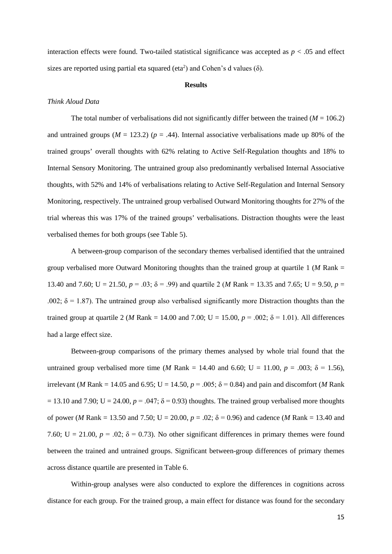interaction effects were found. Two-tailed statistical significance was accepted as  $p < .05$  and effect sizes are reported using partial eta squared (eta<sup>2</sup>) and Cohen's d values ( $\delta$ ).

#### **Results**

#### *Think Aloud Data*

The total number of verbalisations did not significantly differ between the trained  $(M = 106.2)$ and untrained groups  $(M = 123.2)$  ( $p = .44$ ). Internal associative verbalisations made up 80% of the trained groups' overall thoughts with 62% relating to Active Self-Regulation thoughts and 18% to Internal Sensory Monitoring. The untrained group also predominantly verbalised Internal Associative thoughts, with 52% and 14% of verbalisations relating to Active Self-Regulation and Internal Sensory Monitoring, respectively. The untrained group verbalised Outward Monitoring thoughts for 27% of the trial whereas this was 17% of the trained groups' verbalisations. Distraction thoughts were the least verbalised themes for both groups (see Table 5).

A between-group comparison of the secondary themes verbalised identified that the untrained group verbalised more Outward Monitoring thoughts than the trained group at quartile 1 (*M* Rank = 13.40 and 7.60; U = 21.50,  $p = .03$ ;  $\delta = .99$ ) and quartile 2 (*M* Rank = 13.35 and 7.65; U = 9.50,  $p =$ .002;  $\delta$  = 1.87). The untrained group also verbalised significantly more Distraction thoughts than the trained group at quartile 2 (*M* Rank = 14.00 and 7.00; U = 15.00,  $p = .002$ ;  $\delta = 1.01$ ). All differences had a large effect size.

Between-group comparisons of the primary themes analysed by whole trial found that the untrained group verbalised more time (*M* Rank = 14.40 and 6.60; U = 11.00,  $p = .003$ ;  $\delta = 1.56$ ), irrelevant (*M* Rank = 14.05 and 6.95; U = 14.50,  $p = .005$ ;  $\delta = 0.84$ ) and pain and discomfort (*M* Rank  $= 13.10$  and 7.90; U = 24.00,  $p = 0.047$ ;  $\delta = 0.93$ ) thoughts. The trained group verbalised more thoughts of power (*M* Rank = 13.50 and 7.50; U = 20.00,  $p = .02$ ;  $\delta = 0.96$ ) and cadence (*M* Rank = 13.40 and 7.60; U = 21.00,  $p = 0.02$ ;  $\delta = 0.73$ ). No other significant differences in primary themes were found between the trained and untrained groups. Significant between-group differences of primary themes across distance quartile are presented in Table 6.

Within-group analyses were also conducted to explore the differences in cognitions across distance for each group. For the trained group, a main effect for distance was found for the secondary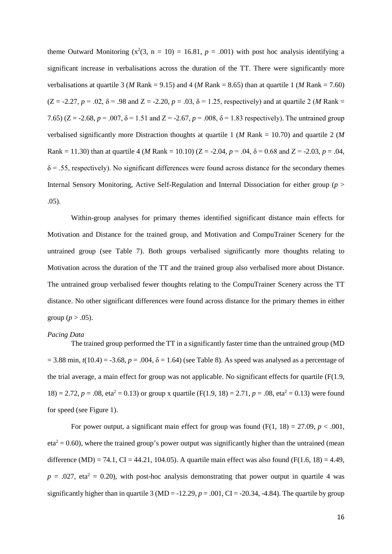theme Outward Monitoring  $(x^2(3, n = 10) = 16.81, p = .001)$  with post hoc analysis identifying a significant increase in verbalisations across the duration of the TT. There were significantly more verbalisations at quartile 3 (*M* Rank = 9.15) and 4 (*M* Rank = 8.65) than at quartile 1 (*M* Rank = 7.60)  $(Z = -2.27, p = .02, \delta = .98$  and  $Z = -2.20, p = .03, \delta = 1.25$ , respectively) and at quartile 2 (*M* Rank = 7.65) ( $Z = -2.68$ ,  $p = .007$ ,  $\delta = 1.51$  and  $Z = -2.67$ ,  $p = .008$ ,  $\delta = 1.83$  respectively). The untrained group verbalised significantly more Distraction thoughts at quartile 1 (*M* Rank = 10.70) and quartile 2 (*M* Rank = 11.30) than at quartile 4 (*M* Rank = 10.10) ( $Z = -2.04$ ,  $p = .04$ ,  $\delta = 0.68$  and  $Z = -2.03$ ,  $p = .04$ ,  $\delta$  = .55, respectively). No significant differences were found across distance for the secondary themes Internal Sensory Monitoring, Active Self-Regulation and Internal Dissociation for either group (*p* > .05).

Within-group analyses for primary themes identified significant distance main effects for Motivation and Distance for the trained group, and Motivation and CompuTrainer Scenery for the untrained group (see Table 7). Both groups verbalised significantly more thoughts relating to Motivation across the duration of the TT and the trained group also verbalised more about Distance. The untrained group verbalised fewer thoughts relating to the CompuTrainer Scenery across the TT distance. No other significant differences were found across distance for the primary themes in either group  $(p > .05)$ .

#### *Pacing Data*

The trained group performed the TT in a significantly faster time than the untrained group (MD  $= 3.88$  min,  $t(10.4) = -3.68$ ,  $p = .004$ ,  $\delta = 1.64$ ) (see Table 8). As speed was analysed as a percentage of the trial average, a main effect for group was not applicable. No significant effects for quartile  $(F(1.9,$ 18) = 2.72,  $p = .08$ , eta<sup>2</sup> = 0.13) or group x quartile (F(1.9, 18) = 2.71,  $p = .08$ , eta<sup>2</sup> = 0.13) were found for speed (see Figure 1).

For power output, a significant main effect for group was found  $(F(1, 18) = 27.09, p < .001,$  $eta^2 = 0.60$ ), where the trained group's power output was significantly higher than the untrained (mean difference (MD) = 74.1, CI = 44.21, 104.05). A quartile main effect was also found (F(1.6, 18) = 4.49,  $p = .027$ , eta<sup>2</sup> = 0.20), with post-hoc analysis demonstrating that power output in quartile 4 was significantly higher than in quartile 3 (MD =  $-12.29$ ,  $p = .001$ , CI =  $-20.34$ ,  $-4.84$ ). The quartile by group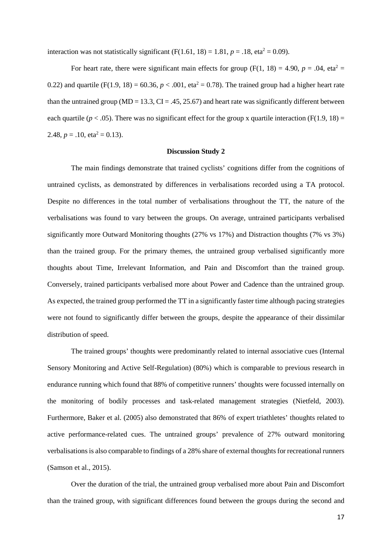interaction was not statistically significant  $(F(1.61, 18) = 1.81, p = .18, eta^2 = 0.09)$ .

For heart rate, there were significant main effects for group (F(1, 18) = 4.90,  $p = .04$ , eta<sup>2</sup> = 0.22) and quartile (F(1.9, 18) = 60.36,  $p < .001$ , eta<sup>2</sup> = 0.78). The trained group had a higher heart rate than the untrained group ( $MD = 13.3$ ,  $CI = .45, 25.67$ ) and heart rate was significantly different between each quartile ( $p < .05$ ). There was no significant effect for the group x quartile interaction (F(1.9, 18) = 2.48,  $p = .10$ , eta<sup>2</sup> = 0.13).

#### **Discussion Study 2**

The main findings demonstrate that trained cyclists' cognitions differ from the cognitions of untrained cyclists, as demonstrated by differences in verbalisations recorded using a TA protocol. Despite no differences in the total number of verbalisations throughout the TT, the nature of the verbalisations was found to vary between the groups. On average, untrained participants verbalised significantly more Outward Monitoring thoughts (27% vs 17%) and Distraction thoughts (7% vs 3%) than the trained group. For the primary themes, the untrained group verbalised significantly more thoughts about Time, Irrelevant Information, and Pain and Discomfort than the trained group. Conversely, trained participants verbalised more about Power and Cadence than the untrained group. As expected, the trained group performed the TT in a significantly faster time although pacing strategies were not found to significantly differ between the groups, despite the appearance of their dissimilar distribution of speed.

The trained groups' thoughts were predominantly related to internal associative cues (Internal Sensory Monitoring and Active Self-Regulation) (80%) which is comparable to previous research in endurance running which found that 88% of competitive runners' thoughts were focussed internally on the monitoring of bodily processes and task-related management strategies (Nietfeld, 2003). Furthermore, Baker et al. (2005) also demonstrated that 86% of expert triathletes' thoughts related to active performance-related cues. The untrained groups' prevalence of 27% outward monitoring verbalisations is also comparable to findings of a 28% share of external thoughts for recreational runners (Samson et al., 2015).

Over the duration of the trial, the untrained group verbalised more about Pain and Discomfort than the trained group, with significant differences found between the groups during the second and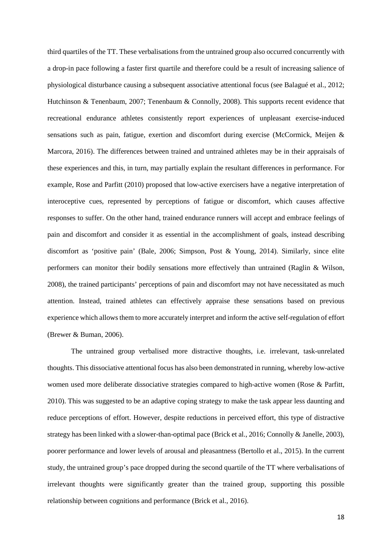third quartiles of the TT. These verbalisations from the untrained group also occurred concurrently with a drop-in pace following a faster first quartile and therefore could be a result of increasing salience of physiological disturbance causing a subsequent associative attentional focus (see Balagué et al., 2012; Hutchinson & Tenenbaum, 2007; Tenenbaum & Connolly, 2008). This supports recent evidence that recreational endurance athletes consistently report experiences of unpleasant exercise-induced sensations such as pain, fatigue, exertion and discomfort during exercise (McCormick, Meijen & Marcora, 2016). The differences between trained and untrained athletes may be in their appraisals of these experiences and this, in turn, may partially explain the resultant differences in performance. For example, Rose and Parfitt (2010) proposed that low-active exercisers have a negative interpretation of interoceptive cues, represented by perceptions of fatigue or discomfort, which causes affective responses to suffer. On the other hand, trained endurance runners will accept and embrace feelings of pain and discomfort and consider it as essential in the accomplishment of goals, instead describing discomfort as 'positive pain' (Bale, 2006; Simpson, Post & Young, 2014). Similarly, since elite performers can monitor their bodily sensations more effectively than untrained (Raglin & Wilson, 2008), the trained participants' perceptions of pain and discomfort may not have necessitated as much attention. Instead, trained athletes can effectively appraise these sensations based on previous experience which allows them to more accurately interpret and inform the active self-regulation of effort (Brewer & Buman, 2006).

The untrained group verbalised more distractive thoughts, i.e. irrelevant, task-unrelated thoughts. This dissociative attentional focus has also been demonstrated in running, whereby low-active women used more deliberate dissociative strategies compared to high-active women (Rose & Parfitt, 2010). This was suggested to be an adaptive coping strategy to make the task appear less daunting and reduce perceptions of effort. However, despite reductions in perceived effort, this type of distractive strategy has been linked with a slower-than-optimal pace (Brick et al., 2016; Connolly & Janelle, 2003), poorer performance and lower levels of arousal and pleasantness (Bertollo et al., 2015). In the current study, the untrained group's pace dropped during the second quartile of the TT where verbalisations of irrelevant thoughts were significantly greater than the trained group, supporting this possible relationship between cognitions and performance (Brick et al., 2016).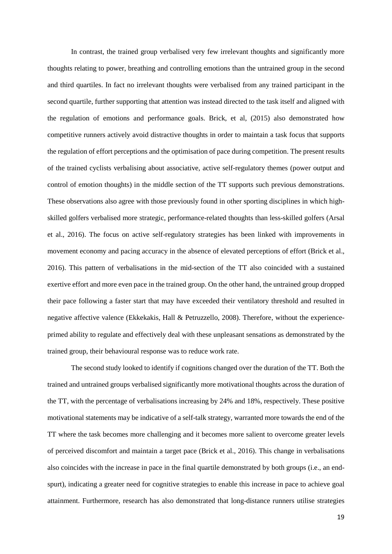In contrast, the trained group verbalised very few irrelevant thoughts and significantly more thoughts relating to power, breathing and controlling emotions than the untrained group in the second and third quartiles. In fact no irrelevant thoughts were verbalised from any trained participant in the second quartile, further supporting that attention was instead directed to the task itself and aligned with the regulation of emotions and performance goals. Brick, et al, (2015) also demonstrated how competitive runners actively avoid distractive thoughts in order to maintain a task focus that supports the regulation of effort perceptions and the optimisation of pace during competition. The present results of the trained cyclists verbalising about associative, active self-regulatory themes (power output and control of emotion thoughts) in the middle section of the TT supports such previous demonstrations. These observations also agree with those previously found in other sporting disciplines in which highskilled golfers verbalised more strategic, performance-related thoughts than less-skilled golfers (Arsal et al., 2016). The focus on active self-regulatory strategies has been linked with improvements in movement economy and pacing accuracy in the absence of elevated perceptions of effort (Brick et al., 2016). This pattern of verbalisations in the mid-section of the TT also coincided with a sustained exertive effort and more even pace in the trained group. On the other hand, the untrained group dropped their pace following a faster start that may have exceeded their ventilatory threshold and resulted in negative affective valence (Ekkekakis, Hall & Petruzzello, 2008). Therefore, without the experienceprimed ability to regulate and effectively deal with these unpleasant sensations as demonstrated by the trained group, their behavioural response was to reduce work rate.

The second study looked to identify if cognitions changed over the duration of the TT. Both the trained and untrained groups verbalised significantly more motivational thoughts across the duration of the TT, with the percentage of verbalisations increasing by 24% and 18%, respectively. These positive motivational statements may be indicative of a self-talk strategy, warranted more towards the end of the TT where the task becomes more challenging and it becomes more salient to overcome greater levels of perceived discomfort and maintain a target pace (Brick et al., 2016). This change in verbalisations also coincides with the increase in pace in the final quartile demonstrated by both groups (i.e., an endspurt), indicating a greater need for cognitive strategies to enable this increase in pace to achieve goal attainment. Furthermore, research has also demonstrated that long-distance runners utilise strategies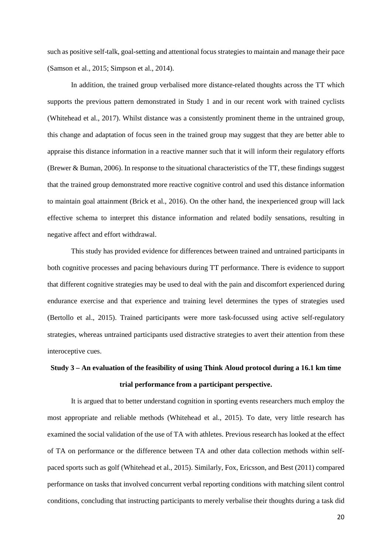such as positive self-talk, goal-setting and attentional focus strategies to maintain and manage their pace (Samson et al., 2015; Simpson et al., 2014).

In addition, the trained group verbalised more distance-related thoughts across the TT which supports the previous pattern demonstrated in Study 1 and in our recent work with trained cyclists (Whitehead et al., 2017). Whilst distance was a consistently prominent theme in the untrained group, this change and adaptation of focus seen in the trained group may suggest that they are better able to appraise this distance information in a reactive manner such that it will inform their regulatory efforts (Brewer & Buman, 2006). In response to the situational characteristics of the TT, these findings suggest that the trained group demonstrated more reactive cognitive control and used this distance information to maintain goal attainment (Brick et al., 2016). On the other hand, the inexperienced group will lack effective schema to interpret this distance information and related bodily sensations, resulting in negative affect and effort withdrawal.

This study has provided evidence for differences between trained and untrained participants in both cognitive processes and pacing behaviours during TT performance. There is evidence to support that different cognitive strategies may be used to deal with the pain and discomfort experienced during endurance exercise and that experience and training level determines the types of strategies used (Bertollo et al., 2015). Trained participants were more task-focussed using active self-regulatory strategies, whereas untrained participants used distractive strategies to avert their attention from these interoceptive cues.

# **Study 3 – An evaluation of the feasibility of using Think Aloud protocol during a 16.1 km time trial performance from a participant perspective.**

It is argued that to better understand cognition in sporting events researchers much employ the most appropriate and reliable methods (Whitehead et al., 2015). To date, very little research has examined the social validation of the use of TA with athletes. Previous research has looked at the effect of TA on performance or the difference between TA and other data collection methods within selfpaced sports such as golf (Whitehead et al., 2015). Similarly, Fox, Ericsson, and Best (2011) compared performance on tasks that involved concurrent verbal reporting conditions with matching silent control conditions, concluding that instructing participants to merely verbalise their thoughts during a task did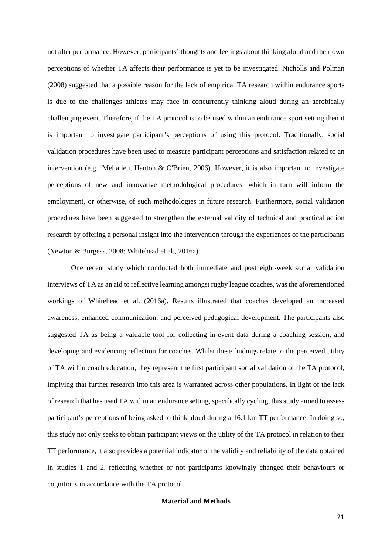not alter performance. However, participants' thoughts and feelings about thinking aloud and their own perceptions of whether TA affects their performance is yet to be investigated. Nicholls and Polman (2008) suggested that a possible reason for the lack of empirical TA research within endurance sports is due to the challenges athletes may face in concurrently thinking aloud during an aerobically challenging event. Therefore, if the TA protocol is to be used within an endurance sport setting then it is important to investigate participant's perceptions of using this protocol. Traditionally, social validation procedures have been used to measure participant perceptions and satisfaction related to an intervention (e.g., Mellalieu, Hanton & O'Brien, 2006). However, it is also important to investigate perceptions of new and innovative methodological procedures, which in turn will inform the employment, or otherwise, of such methodologies in future research. Furthermore, social validation procedures have been suggested to strengthen the external validity of technical and practical action research by offering a personal insight into the intervention through the experiences of the participants (Newton & Burgess, 2008; Whitehead et al., 2016a).

One recent study which conducted both immediate and post eight-week social validation interviews of TA as an aid to reflective learning amongst rugby league coaches, was the aforementioned workings of Whitehead et al. (2016a). Results illustrated that coaches developed an increased awareness, enhanced communication, and perceived pedagogical development. The participants also suggested TA as being a valuable tool for collecting in-event data during a coaching session, and developing and evidencing reflection for coaches. Whilst these findings relate to the perceived utility of TA within coach education, they represent the first participant social validation of the TA protocol, implying that further research into this area is warranted across other populations. In light of the lack of research that has used TA within an endurance setting, specifically cycling, this study aimed to assess participant's perceptions of being asked to think aloud during a 16.1 km TT performance. In doing so, this study not only seeks to obtain participant views on the utility of the TA protocol in relation to their TT performance, it also provides a potential indicator of the validity and reliability of the data obtained in studies 1 and 2, reflecting whether or not participants knowingly changed their behaviours or cognitions in accordance with the TA protocol.

## **Material and Methods**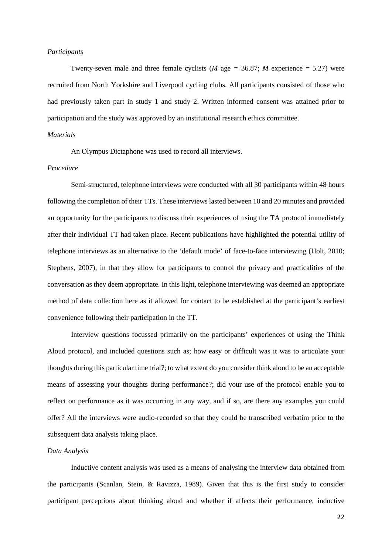#### *Participants*

Twenty-seven male and three female cyclists (*M* age = 36.87; *M* experience = 5.27) were recruited from North Yorkshire and Liverpool cycling clubs. All participants consisted of those who had previously taken part in study 1 and study 2. Written informed consent was attained prior to participation and the study was approved by an institutional research ethics committee.

#### *Materials*

An Olympus Dictaphone was used to record all interviews.

#### *Procedure*

Semi-structured, telephone interviews were conducted with all 30 participants within 48 hours following the completion of their TTs. These interviews lasted between 10 and 20 minutes and provided an opportunity for the participants to discuss their experiences of using the TA protocol immediately after their individual TT had taken place. Recent publications have highlighted the potential utility of telephone interviews as an alternative to the 'default mode' of face-to-face interviewing (Holt, 2010; Stephens, 2007), in that they allow for participants to control the privacy and practicalities of the conversation as they deem appropriate. In this light, telephone interviewing was deemed an appropriate method of data collection here as it allowed for contact to be established at the participant's earliest convenience following their participation in the TT.

Interview questions focussed primarily on the participants' experiences of using the Think Aloud protocol, and included questions such as; how easy or difficult was it was to articulate your thoughts during this particular time trial?; to what extent do you consider think aloud to be an acceptable means of assessing your thoughts during performance?; did your use of the protocol enable you to reflect on performance as it was occurring in any way, and if so, are there any examples you could offer? All the interviews were audio-recorded so that they could be transcribed verbatim prior to the subsequent data analysis taking place.

## *Data Analysis*

Inductive content analysis was used as a means of analysing the interview data obtained from the participants (Scanlan, Stein, & Ravizza, 1989). Given that this is the first study to consider participant perceptions about thinking aloud and whether if affects their performance, inductive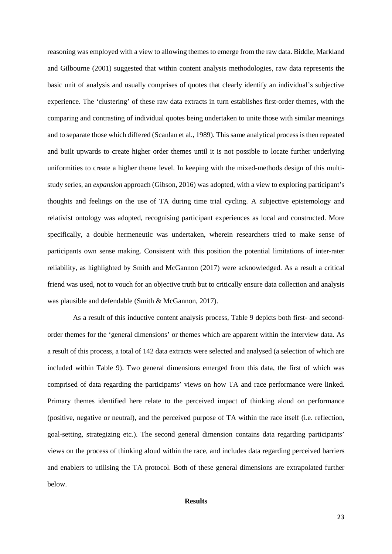reasoning was employed with a view to allowing themes to emerge from the raw data. Biddle, Markland and Gilbourne (2001) suggested that within content analysis methodologies, raw data represents the basic unit of analysis and usually comprises of quotes that clearly identify an individual's subjective experience. The 'clustering' of these raw data extracts in turn establishes first-order themes, with the comparing and contrasting of individual quotes being undertaken to unite those with similar meanings and to separate those which differed (Scanlan et al., 1989). This same analytical process is then repeated and built upwards to create higher order themes until it is not possible to locate further underlying uniformities to create a higher theme level. In keeping with the mixed-methods design of this multistudy series, an *expansion* approach (Gibson, 2016) was adopted, with a view to exploring participant's thoughts and feelings on the use of TA during time trial cycling. A subjective epistemology and relativist ontology was adopted, recognising participant experiences as local and constructed. More specifically, a double hermeneutic was undertaken, wherein researchers tried to make sense of participants own sense making. Consistent with this position the potential limitations of inter-rater reliability, as highlighted by Smith and McGannon (2017) were acknowledged. As a result a critical friend was used, not to vouch for an objective truth but to critically ensure data collection and analysis was plausible and defendable (Smith & McGannon, 2017).

As a result of this inductive content analysis process, Table 9 depicts both first- and secondorder themes for the 'general dimensions' or themes which are apparent within the interview data. As a result of this process, a total of 142 data extracts were selected and analysed (a selection of which are included within Table 9). Two general dimensions emerged from this data, the first of which was comprised of data regarding the participants' views on how TA and race performance were linked. Primary themes identified here relate to the perceived impact of thinking aloud on performance (positive, negative or neutral), and the perceived purpose of TA within the race itself (i.e. reflection, goal-setting, strategizing etc.). The second general dimension contains data regarding participants' views on the process of thinking aloud within the race, and includes data regarding perceived barriers and enablers to utilising the TA protocol. Both of these general dimensions are extrapolated further below.

## **Results**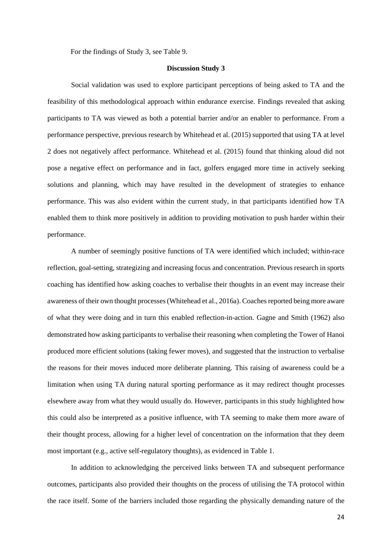For the findings of Study 3, see Table 9.

## **Discussion Study 3**

Social validation was used to explore participant perceptions of being asked to TA and the feasibility of this methodological approach within endurance exercise. Findings revealed that asking participants to TA was viewed as both a potential barrier and/or an enabler to performance. From a performance perspective, previous research by Whitehead et al. (2015) supported that using TA at level 2 does not negatively affect performance. Whitehead et al. (2015) found that thinking aloud did not pose a negative effect on performance and in fact, golfers engaged more time in actively seeking solutions and planning, which may have resulted in the development of strategies to enhance performance. This was also evident within the current study, in that participants identified how TA enabled them to think more positively in addition to providing motivation to push harder within their performance.

A number of seemingly positive functions of TA were identified which included; within-race reflection, goal-setting, strategizing and increasing focus and concentration. Previous research in sports coaching has identified how asking coaches to verbalise their thoughts in an event may increase their awareness of their own thought processes(Whitehead et al., 2016a). Coaches reported being more aware of what they were doing and in turn this enabled reflection-in-action. Gagne and Smith (1962) also demonstrated how asking participants to verbalise their reasoning when completing the Tower of Hanoi produced more efficient solutions (taking fewer moves), and suggested that the instruction to verbalise the reasons for their moves induced more deliberate planning. This raising of awareness could be a limitation when using TA during natural sporting performance as it may redirect thought processes elsewhere away from what they would usually do. However, participants in this study highlighted how this could also be interpreted as a positive influence, with TA seeming to make them more aware of their thought process, allowing for a higher level of concentration on the information that they deem most important (e.g., active self-regulatory thoughts), as evidenced in Table 1.

In addition to acknowledging the perceived links between TA and subsequent performance outcomes, participants also provided their thoughts on the process of utilising the TA protocol within the race itself. Some of the barriers included those regarding the physically demanding nature of the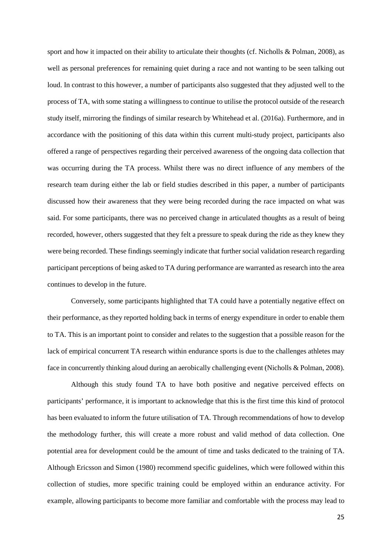sport and how it impacted on their ability to articulate their thoughts (cf. Nicholls & Polman, 2008), as well as personal preferences for remaining quiet during a race and not wanting to be seen talking out loud. In contrast to this however, a number of participants also suggested that they adjusted well to the process of TA, with some stating a willingness to continue to utilise the protocol outside of the research study itself, mirroring the findings of similar research by Whitehead et al. (2016a). Furthermore, and in accordance with the positioning of this data within this current multi-study project, participants also offered a range of perspectives regarding their perceived awareness of the ongoing data collection that was occurring during the TA process. Whilst there was no direct influence of any members of the research team during either the lab or field studies described in this paper, a number of participants discussed how their awareness that they were being recorded during the race impacted on what was said. For some participants, there was no perceived change in articulated thoughts as a result of being recorded, however, others suggested that they felt a pressure to speak during the ride as they knew they were being recorded. These findings seemingly indicate that further social validation research regarding participant perceptions of being asked to TA during performance are warranted as research into the area continues to develop in the future.

Conversely, some participants highlighted that TA could have a potentially negative effect on their performance, as they reported holding back in terms of energy expenditure in order to enable them to TA. This is an important point to consider and relates to the suggestion that a possible reason for the lack of empirical concurrent TA research within endurance sports is due to the challenges athletes may face in concurrently thinking aloud during an aerobically challenging event (Nicholls & Polman, 2008).

Although this study found TA to have both positive and negative perceived effects on participants' performance, it is important to acknowledge that this is the first time this kind of protocol has been evaluated to inform the future utilisation of TA. Through recommendations of how to develop the methodology further, this will create a more robust and valid method of data collection. One potential area for development could be the amount of time and tasks dedicated to the training of TA. Although Ericsson and Simon (1980) recommend specific guidelines, which were followed within this collection of studies, more specific training could be employed within an endurance activity. For example, allowing participants to become more familiar and comfortable with the process may lead to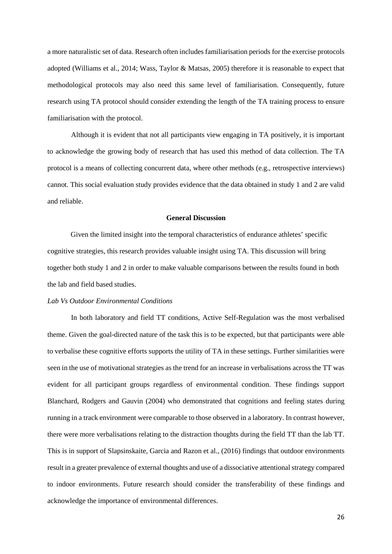a more naturalistic set of data. Research often includes familiarisation periods for the exercise protocols adopted (Williams et al., 2014; Wass, Taylor & Matsas, 2005) therefore it is reasonable to expect that methodological protocols may also need this same level of familiarisation. Consequently, future research using TA protocol should consider extending the length of the TA training process to ensure familiarisation with the protocol.

Although it is evident that not all participants view engaging in TA positively, it is important to acknowledge the growing body of research that has used this method of data collection. The TA protocol is a means of collecting concurrent data, where other methods (e.g., retrospective interviews) cannot. This social evaluation study provides evidence that the data obtained in study 1 and 2 are valid and reliable.

#### **General Discussion**

Given the limited insight into the temporal characteristics of endurance athletes' specific cognitive strategies, this research provides valuable insight using TA. This discussion will bring together both study 1 and 2 in order to make valuable comparisons between the results found in both the lab and field based studies.

## *Lab Vs Outdoor Environmental Conditions*

In both laboratory and field TT conditions, Active Self-Regulation was the most verbalised theme. Given the goal-directed nature of the task this is to be expected, but that participants were able to verbalise these cognitive efforts supports the utility of TA in these settings. Further similarities were seen in the use of motivational strategies as the trend for an increase in verbalisations across the TT was evident for all participant groups regardless of environmental condition. These findings support Blanchard, Rodgers and Gauvin (2004) who demonstrated that cognitions and feeling states during running in a track environment were comparable to those observed in a laboratory. In contrast however, there were more verbalisations relating to the distraction thoughts during the field TT than the lab TT. This is in support of Slapsinskaite, Garcia and Razon et al., (2016) findings that outdoor environments result in a greater prevalence of external thoughts and use of a dissociative attentional strategy compared to indoor environments. Future research should consider the transferability of these findings and acknowledge the importance of environmental differences.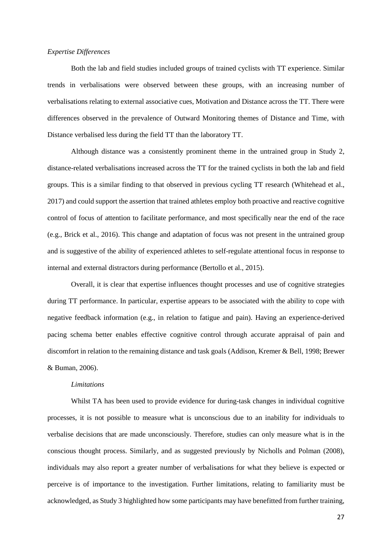## *Expertise Differences*

Both the lab and field studies included groups of trained cyclists with TT experience. Similar trends in verbalisations were observed between these groups, with an increasing number of verbalisations relating to external associative cues, Motivation and Distance across the TT. There were differences observed in the prevalence of Outward Monitoring themes of Distance and Time, with Distance verbalised less during the field TT than the laboratory TT.

Although distance was a consistently prominent theme in the untrained group in Study 2, distance-related verbalisations increased across the TT for the trained cyclists in both the lab and field groups. This is a similar finding to that observed in previous cycling TT research (Whitehead et al., 2017) and could support the assertion that trained athletes employ both proactive and reactive cognitive control of focus of attention to facilitate performance, and most specifically near the end of the race (e.g., Brick et al., 2016). This change and adaptation of focus was not present in the untrained group and is suggestive of the ability of experienced athletes to self-regulate attentional focus in response to internal and external distractors during performance (Bertollo et al., 2015).

Overall, it is clear that expertise influences thought processes and use of cognitive strategies during TT performance. In particular, expertise appears to be associated with the ability to cope with negative feedback information (e.g., in relation to fatigue and pain). Having an experience-derived pacing schema better enables effective cognitive control through accurate appraisal of pain and discomfort in relation to the remaining distance and task goals (Addison, Kremer & Bell, 1998; Brewer & Buman, 2006).

## *Limitations*

Whilst TA has been used to provide evidence for during-task changes in individual cognitive processes, it is not possible to measure what is unconscious due to an inability for individuals to verbalise decisions that are made unconsciously. Therefore, studies can only measure what is in the conscious thought process. Similarly, and as suggested previously by Nicholls and Polman (2008), individuals may also report a greater number of verbalisations for what they believe is expected or perceive is of importance to the investigation. Further limitations, relating to familiarity must be acknowledged, as Study 3 highlighted how some participants may have benefitted from further training,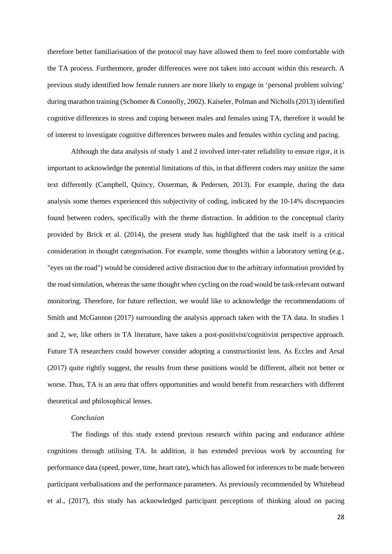therefore better familiarisation of the protocol may have allowed them to feel more comfortable with the TA process. Furthermore, gender differences were not taken into account within this research. A previous study identified how female runners are more likely to engage in 'personal problem solving' during marathon training (Schomer & Connolly, 2002). Kaiseler, Polman and Nicholls (2013) identified cognitive differences in stress and coping between males and females using TA, therefore it would be of interest to investigate cognitive differences between males and females within cycling and pacing.

Although the data analysis of study 1 and 2 involved inter-rater reliability to ensure rigor, it is important to acknowledge the potential limitations of this, in that different coders may unitize the same text differently (Campbell, Quincy, Osserman, & Pedersen, 2013). For example, during the data analysis some themes experienced this subjectivity of coding, indicated by the 10-14% discrepancies found between coders, specifically with the theme distraction. In addition to the conceptual clarity provided by Brick et al. (2014), the present study has highlighted that the task itself is a critical consideration in thought categorisation. For example, some thoughts within a laboratory setting (e.g., "eyes on the road") would be considered active distraction due to the arbitrary information provided by the road simulation, whereas the same thought when cycling on the road would be task-relevant outward monitoring. Therefore, for future reflection, we would like to acknowledge the recommendations of Smith and McGannon (2017) surrounding the analysis approach taken with the TA data. In studies 1 and 2, we, like others in TA literature, have taken a post-positivist/cognitivist perspective approach. Future TA researchers could however consider adopting a constructionist lens. As Eccles and Arsal (2017) quite rightly suggest, the results from these positions would be different, albeit not better or worse. Thus, TA is an area that offers opportunities and would benefit from researchers with different theoretical and philosophical lenses.

## *Conclusion*

The findings of this study extend previous research within pacing and endurance athlete cognitions through utilising TA. In addition, it has extended previous work by accounting for performance data (speed, power, time, heart rate), which has allowed for inferences to be made between participant verbalisations and the performance parameters. As previously recommended by Whitehead et al., (2017), this study has acknowledged participant perceptions of thinking aloud on pacing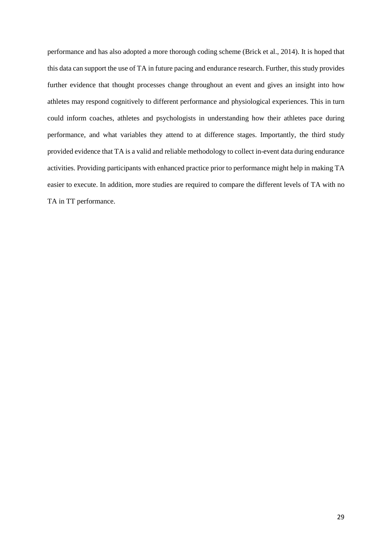performance and has also adopted a more thorough coding scheme (Brick et al., 2014). It is hoped that this data can support the use of TA in future pacing and endurance research. Further, this study provides further evidence that thought processes change throughout an event and gives an insight into how athletes may respond cognitively to different performance and physiological experiences. This in turn could inform coaches, athletes and psychologists in understanding how their athletes pace during performance, and what variables they attend to at difference stages. Importantly, the third study provided evidence that TA is a valid and reliable methodology to collect in-event data during endurance activities. Providing participants with enhanced practice prior to performance might help in making TA easier to execute. In addition, more studies are required to compare the different levels of TA with no TA in TT performance.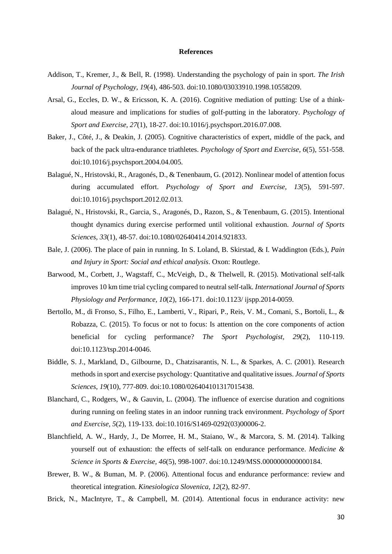#### **References**

- Addison, T., Kremer, J., & Bell, R. (1998). Understanding the psychology of pain in sport. *The Irish Journal of Psychology, 19*(4), 486-503. doi:10.1080/03033910.1998.10558209.
- Arsal, G., Eccles, D. W., & Ericsson, K. A. (2016). Cognitive mediation of putting: Use of a thinkaloud measure and implications for studies of golf-putting in the laboratory. *Psychology of Sport and Exercise, 27*(1), 18-27. doi:10.1016/j.psychsport.2016.07.008.
- Baker, J., Côté, J., & Deakin, J. (2005). Cognitive characteristics of expert, middle of the pack, and back of the pack ultra-endurance triathletes. *Psychology of Sport and Exercise, 6*(5), 551-558. doi:10.1016/j.psychsport.2004.04.005.
- Balagué, N., Hristovski, R., Aragonés, D., & Tenenbaum, G. (2012). Nonlinear model of attention focus during accumulated effort. *Psychology of Sport and Exercise, 13*(5), 591-597. doi:10.1016/j.psychsport.2012.02.013.
- Balagué, N., Hristovski, R., Garcia, S., Aragonés, D., Razon, S., & Tenenbaum, G. (2015). Intentional thought dynamics during exercise performed until volitional exhaustion. *Journal of Sports Sciences, 33*(1), 48-57. doi:10.1080/02640414.2014.921833.
- Bale, J. (2006). The place of pain in running. In S. Loland, B. Skirstad, & I. Waddington (Eds.), *Pain and Injury in Sport: Social and ethical analysis*. Oxon: Routlege.
- Barwood, M., Corbett, J., Wagstaff, C., McVeigh, D., & Thelwell, R. (2015). Motivational self-talk improves 10 km time trial cycling compared to neutral self-talk. *International Journal of Sports Physiology and Performance, 10*(2), 166-171. doi:10.1123/ ijspp.2014-0059.
- Bertollo, M., di Fronso, S., Filho, E., Lamberti, V., Ripari, P., Reis, V. M., Comani, S., Bortoli, L., & Robazza, C. (2015). To focus or not to focus: Is attention on the core components of action beneficial for cycling performance? *The Sport Psychologist, 29*(2), 110-119. doi:10.1123/tsp.2014-0046.
- Biddle, S. J., Markland, D., Gilbourne, D., Chatzisarantis, N. L., & Sparkes, A. C. (2001). Research methods in sport and exercise psychology: Quantitative and qualitative issues. *Journal of Sports Sciences, 19*(10), 777-809. doi:10.1080/026404101317015438.
- Blanchard, C., Rodgers, W., & Gauvin, L. (2004). The influence of exercise duration and cognitions during running on feeling states in an indoor running track environment. *Psychology of Sport and Exercise, 5*(2), 119-133. doi:10.1016/S1469-0292(03)00006-2.
- Blanchfield, A. W., Hardy, J., De Morree, H. M., Staiano, W., & Marcora, S. M. (2014). Talking yourself out of exhaustion: the effects of self-talk on endurance performance. *Medicine & Science in Sports & Exercise, 46*(5), 998-1007. doi:10.1249/MSS.0000000000000184.
- Brewer, B. W., & Buman, M. P. (2006). Attentional focus and endurance performance: review and theoretical integration. *Kinesiologica Slovenica, 12*(2), 82-97.
- Brick, N., MacIntyre, T., & Campbell, M. (2014). Attentional focus in endurance activity: new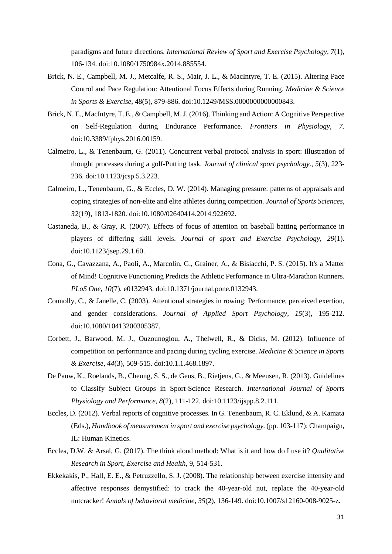paradigms and future directions. *International Review of Sport and Exercise Psychology, 7*(1), 106-134. doi:10.1080/1750984x.2014.885554.

- Brick, N. E., Campbell, M. J., Metcalfe, R. S., Mair, J. L., & MacIntyre, T. E. (2015). Altering Pace Control and Pace Regulation: Attentional Focus Effects during Running. *Medicine & Science in Sports & Exercise*, 48(5), 879-886. doi:10.1249/MSS.0000000000000843.
- Brick, N. E., MacIntyre, T. E., & Campbell, M. J. (2016). Thinking and Action: A Cognitive Perspective on Self-Regulation during Endurance Performance. *Frontiers in Physiology, 7*. doi:10.3389/fphys.2016.00159.
- Calmeiro, L., & Tenenbaum, G. (2011). Concurrent verbal protocol analysis in sport: illustration of thought processes during a golf-Putting task. *Journal of clinical sport psychology., 5*(3), 223- 236. doi:10.1123/jcsp.5.3.223.
- Calmeiro, L., Tenenbaum, G., & Eccles, D. W. (2014). Managing pressure: patterns of appraisals and coping strategies of non-elite and elite athletes during competition. *Journal of Sports Sciences, 32*(19), 1813-1820. doi:10.1080/02640414.2014.922692.
- Castaneda, B., & Gray, R. (2007). Effects of focus of attention on baseball batting performance in players of differing skill levels. *Journal of sport and Exercise Psychology, 29*(1). doi:10.1123/jsep.29.1.60.
- Cona, G., Cavazzana, A., Paoli, A., Marcolin, G., Grainer, A., & Bisiacchi, P. S. (2015). It's a Matter of Mind! Cognitive Functioning Predicts the Athletic Performance in Ultra-Marathon Runners. *PLoS One, 10*(7), e0132943. doi:10.1371/journal.pone.0132943.
- Connolly, C., & Janelle, C. (2003). Attentional strategies in rowing: Performance, perceived exertion, and gender considerations. *Journal of Applied Sport Psychology, 15*(3), 195-212. doi:10.1080/10413200305387.
- Corbett, J., Barwood, M. J., Ouzounoglou, A., Thelwell, R., & Dicks, M. (2012). Influence of competition on performance and pacing during cycling exercise. *Medicine & Science in Sports & Exercise, 44*(3), 509-515. doi:10.1.1.468.1897.
- De Pauw, K., Roelands, B., Cheung, S. S., de Geus, B., Rietjens, G., & Meeusen, R. (2013). Guidelines to Classify Subject Groups in Sport-Science Research. *International Journal of Sports Physiology and Performance, 8*(2), 111-122. doi:10.1123/ijspp.8.2.111.
- Eccles, D. (2012). Verbal reports of cognitive processes. In G. Tenenbaum, R. C. Eklund, & A. Kamata (Eds.), *Handbook of measurement in sport and exercise psychology.* (pp. 103-117): Champaign, IL: Human Kinetics.
- Eccles, D.W. & Arsal, G. (2017). The think aloud method: What is it and how do I use it? *Qualitative Research in Sport, Exercise and Health*, 9, 514-531.
- Ekkekakis, P., Hall, E. E., & Petruzzello, S. J. (2008). The relationship between exercise intensity and affective responses demystified: to crack the 40-year-old nut, replace the 40-year-old nutcracker! *Annals of behavioral medicine, 35*(2), 136-149. doi:10.1007/s12160-008-9025-z.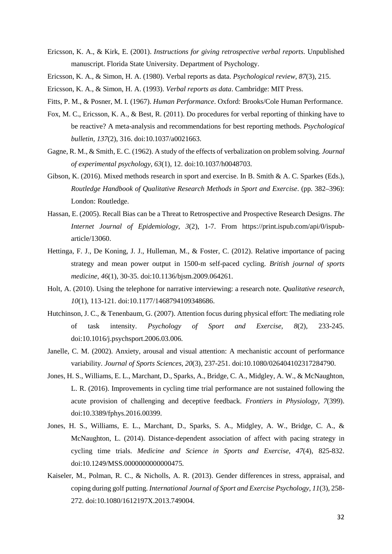- Ericsson, K. A., & Kirk, E. (2001). *Instructions for giving retrospective verbal reports*. Unpublished manuscript. Florida State University. Department of Psychology.
- Ericsson, K. A., & Simon, H. A. (1980). Verbal reports as data. *Psychological review, 87*(3), 215.
- Ericsson, K. A., & Simon, H. A. (1993). *Verbal reports as data*. Cambridge: MIT Press.
- Fitts, P. M., & Posner, M. I. (1967). *Human Performance*. Oxford: Brooks/Cole Human Performance.
- Fox, M. C., Ericsson, K. A., & Best, R. (2011). Do procedures for verbal reporting of thinking have to be reactive? A meta-analysis and recommendations for best reporting methods. *Psychological bulletin, 137*(2), 316. doi:10.1037/a0021663.
- Gagne, R. M., & Smith, E. C. (1962). A study of the effects of verbalization on problem solving. *Journal of experimental psychology, 63*(1), 12. doi:10.1037/h0048703.
- Gibson, K. (2016). Mixed methods research in sport and exercise. In B. Smith & A. C. Sparkes (Eds.), *Routledge Handbook of Qualitative Research Methods in Sport and Exercise*. (pp. 382–396): London: Routledge.
- Hassan, E. (2005). Recall Bias can be a Threat to Retrospective and Prospective Research Designs. *The Internet Journal of Epidemiology, 3*(2), 1-7. From https://print.ispub.com/api/0/ispubarticle/13060.
- Hettinga, F. J., De Koning, J. J., Hulleman, M., & Foster, C. (2012). Relative importance of pacing strategy and mean power output in 1500-m self-paced cycling. *British journal of sports medicine, 46*(1), 30-35. doi:10.1136/bjsm.2009.064261.
- Holt, A. (2010). Using the telephone for narrative interviewing: a research note. *Qualitative research, 10*(1), 113-121. doi:10.1177/1468794109348686.
- Hutchinson, J. C., & Tenenbaum, G. (2007). Attention focus during physical effort: The mediating role of task intensity. *Psychology of Sport and Exercise, 8*(2), 233-245. doi:10.1016/j.psychsport.2006.03.006.
- Janelle, C. M. (2002). Anxiety, arousal and visual attention: A mechanistic account of performance variability. *Journal of Sports Sciences, 20*(3), 237-251. doi:10.1080/026404102317284790.
- Jones, H. S., Williams, E. L., Marchant, D., Sparks, A., Bridge, C. A., Midgley, A. W., & McNaughton, L. R. (2016). Improvements in cycling time trial performance are not sustained following the acute provision of challenging and deceptive feedback. *Frontiers in Physiology, 7*(399). doi:10.3389/fphys.2016.00399.
- Jones, H. S., Williams, E. L., Marchant, D., Sparks, S. A., Midgley, A. W., Bridge, C. A., & McNaughton, L. (2014). Distance-dependent association of affect with pacing strategy in cycling time trials. *Medicine and Science in Sports and Exercise, 47*(4), 825-832. doi:10.1249/MSS.0000000000000475.
- Kaiseler, M., Polman, R. C., & Nicholls, A. R. (2013). Gender differences in stress, appraisal, and coping during golf putting. *International Journal of Sport and Exercise Psychology, 11*(3), 258- 272. doi:10.1080/1612197X.2013.749004.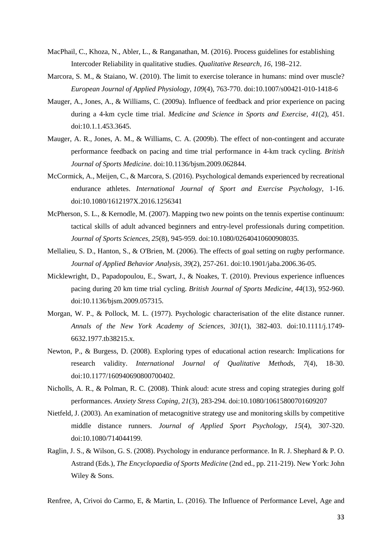- MacPhail, C., Khoza, N., Abler, L., & Ranganathan, M. (2016). Process guidelines for establishing Intercoder Reliability in qualitative studies. *Qualitative Research, 16*, 198–212.
- Marcora, S. M., & Staiano, W. (2010). The limit to exercise tolerance in humans: mind over muscle? *European Journal of Applied Physiology, 109*(4), 763-770. doi:10.1007/s00421-010-1418-6
- Mauger, A., Jones, A., & Williams, C. (2009a). Influence of feedback and prior experience on pacing during a 4-km cycle time trial. *Medicine and Science in Sports and Exercise, 41*(2), 451. doi:10.1.1.453.3645.
- Mauger, A. R., Jones, A. M., & Williams, C. A. (2009b). The effect of non-contingent and accurate performance feedback on pacing and time trial performance in 4-km track cycling. *British Journal of Sports Medicine*. doi:10.1136/bjsm.2009.062844.
- McCormick, A., Meijen, C., & Marcora, S. (2016). Psychological demands experienced by recreational endurance athletes. *International Journal of Sport and Exercise Psychology*, 1-16. doi:10.1080/1612197X.2016.1256341
- McPherson, S. L., & Kernodle, M. (2007). Mapping two new points on the tennis expertise continuum: tactical skills of adult advanced beginners and entry-level professionals during competition. *Journal of Sports Sciences, 25*(8), 945-959. doi:10.1080/02640410600908035.
- Mellalieu, S. D., Hanton, S., & O'Brien, M. (2006). The effects of goal setting on rugby performance. *Journal of Applied Behavior Analysis, 39*(2), 257-261. doi:10.1901/jaba.2006.36-05.
- Micklewright, D., Papadopoulou, E., Swart, J., & Noakes, T. (2010). Previous experience influences pacing during 20 km time trial cycling. *British Journal of Sports Medicine, 44*(13), 952-960. doi:10.1136/bjsm.2009.057315.
- Morgan, W. P., & Pollock, M. L. (1977). Psychologic characterisation of the elite distance runner. *Annals of the New York Academy of Sciences, 301*(1), 382-403. doi:10.1111/j.1749- 6632.1977.tb38215.x.
- Newton, P., & Burgess, D. (2008). Exploring types of educational action research: Implications for research validity. *International Journal of Qualitative Methods, 7*(4), 18-30. doi:10.1177/160940690800700402.
- Nicholls, A. R., & Polman, R. C. (2008). Think aloud: acute stress and coping strategies during golf performances. *Anxiety Stress Coping, 21*(3), 283-294. doi:10.1080/10615800701609207
- Nietfeld, J. (2003). An examination of metacognitive strategy use and monitoring skills by competitive middle distance runners. *Journal of Applied Sport Psychology, 15*(4), 307-320. doi:10.1080/714044199.
- Raglin, J. S., & Wilson, G. S. (2008). Psychology in endurance performance. In R. J. Shephard & P. O. Astrand (Eds.), *The Encyclopaedia of Sports Medicine* (2nd ed., pp. 211-219). New York: John Wiley & Sons.

Renfree, A, Crivoi do Carmo, E, & Martin, L. (2016). The Influence of Performance Level, Age and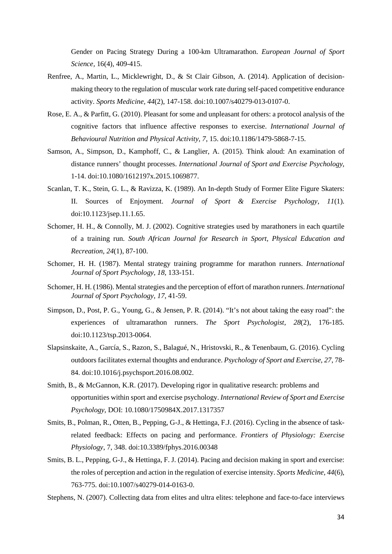Gender on Pacing Strategy During a 100-km Ultramarathon. *European Journal of Sport Science,* 16(4), 409-415.

- Renfree, A., Martin, L., Micklewright, D., & St Clair Gibson, A. (2014). Application of decisionmaking theory to the regulation of muscular work rate during self-paced competitive endurance activity. *Sports Medicine, 44*(2), 147-158. doi:10.1007/s40279-013-0107-0.
- Rose, E. A., & Parfitt, G. (2010). Pleasant for some and unpleasant for others: a protocol analysis of the cognitive factors that influence affective responses to exercise. *International Journal of Behavioural Nutrition and Physical Activity, 7*, 15. doi:10.1186/1479-5868-7-15.
- Samson, A., Simpson, D., Kamphoff, C., & Langlier, A. (2015). Think aloud: An examination of distance runners' thought processes. *International Journal of Sport and Exercise Psychology*, 1-14. doi:10.1080/1612197x.2015.1069877.
- Scanlan, T. K., Stein, G. L., & Ravizza, K. (1989). An In-depth Study of Former Elite Figure Skaters: II. Sources of Enjoyment. *Journal of Sport & Exercise Psychology, 11*(1). doi:10.1123/jsep.11.1.65.
- Schomer, H. H., & Connolly, M. J. (2002). Cognitive strategies used by marathoners in each quartile of a training run. *South African Journal for Research in Sport, Physical Education and Recreation, 24*(1), 87-100.
- Schomer, H. H. (1987). Mental strategy training programme for marathon runners. *International Journal of Sport Psychology*, *18*, 133-151.
- Schomer, H. H. (1986). Mental strategies and the perception of effort of marathon runners. *International Journal of Sport Psychology*, *17*, 41-59.
- Simpson, D., Post, P. G., Young, G., & Jensen, P. R. (2014). "It's not about taking the easy road": the experiences of ultramarathon runners. *The Sport Psychologist, 28*(2), 176-185. doi:10.1123/tsp.2013-0064.
- Slapsinskaite, A., García, S., Razon, S., Balagué, N., Hristovski, R., & Tenenbaum, G. (2016). Cycling outdoors facilitates external thoughts and endurance. *Psychology of Sport and Exercise, 27*, 78- 84. doi:10.1016/j.psychsport.2016.08.002.
- Smith, B., & McGannon, K.R. (2017). Developing rigor in qualitative research: problems and opportunities within sport and exercise psychology. *International Review of Sport and Exercise Psychology*, DOI: 10.1080/1750984X.2017.1317357
- Smits, B., Polman, R., Otten, B., Pepping, G-J., & Hettinga, F.J. (2016). Cycling in the absence of taskrelated feedback: Effects on pacing and performance. *Frontiers of Physiology: Exercise Physiology*, 7, 348. doi:10.3389/fphys.2016.00348
- Smits, B. L., Pepping, G-J., & Hettinga, F. J. (2014). Pacing and decision making in sport and exercise: the roles of perception and action in the regulation of exercise intensity. *Sports Medicine, 44*(6), 763-775. doi:10.1007/s40279-014-0163-0.

Stephens, N. (2007). Collecting data from elites and ultra elites: telephone and face-to-face interviews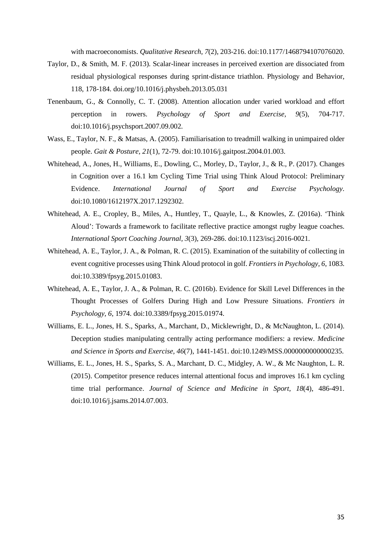with macroeconomists. *Qualitative Research, 7*(2), 203-216. doi:10.1177/1468794107076020.

- Taylor, D., & Smith, M. F. (2013). Scalar-linear increases in perceived exertion are dissociated from residual physiological responses during sprint-distance triathlon. Physiology and Behavior, 118, 178-184. doi.org/10.1016/j.physbeh.2013.05.031
- Tenenbaum, G., & Connolly, C. T. (2008). Attention allocation under varied workload and effort perception in rowers. *Psychology of Sport and Exercise, 9*(5), 704-717. doi:10.1016/j.psychsport.2007.09.002.
- Wass, E., Taylor, N. F., & Matsas, A. (2005). Familiarisation to treadmill walking in unimpaired older people. *Gait & Posture, 21*(1), 72-79. doi:10.1016/j.gaitpost.2004.01.003.
- Whitehead, A., Jones, H., Williams, E., Dowling, C., Morley, D., Taylor, J., & R., P. (2017). Changes in Cognition over a 16.1 km Cycling Time Trial using Think Aloud Protocol: Preliminary Evidence. *International Journal of Sport and Exercise Psychology*. doi:10.1080/1612197X.2017.1292302.
- Whitehead, A. E., Cropley, B., Miles, A., Huntley, T., Quayle, L., & Knowles, Z. (2016a). 'Think Aloud': Towards a framework to facilitate reflective practice amongst rugby league coaches. *International Sport Coaching Journal, 3*(3), 269-286. doi:10.1123/iscj.2016-0021.
- Whitehead, A. E., Taylor, J. A., & Polman, R. C. (2015). Examination of the suitability of collecting in event cognitive processes using Think Aloud protocol in golf. *Frontiers in Psychology, 6*, 1083. doi:10.3389/fpsyg.2015.01083.
- Whitehead, A. E., Taylor, J. A., & Polman, R. C. (2016b). Evidence for Skill Level Differences in the Thought Processes of Golfers During High and Low Pressure Situations. *Frontiers in Psychology, 6*, 1974. doi:10.3389/fpsyg.2015.01974.
- Williams, E. L., Jones, H. S., Sparks, A., Marchant, D., Micklewright, D., & McNaughton, L. (2014). Deception studies manipulating centrally acting performance modifiers: a review. *Medicine and Science in Sports and Exercise, 46*(7), 1441-1451. doi:10.1249/MSS.0000000000000235.
- Williams, E. L., Jones, H. S., Sparks, S. A., Marchant, D. C., Midgley, A. W., & Mc Naughton, L. R. (2015). Competitor presence reduces internal attentional focus and improves 16.1 km cycling time trial performance. *Journal of Science and Medicine in Sport, 18*(4), 486-491. doi:10.1016/j.jsams.2014.07.003.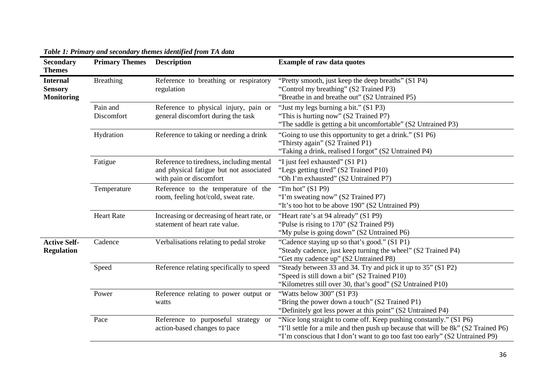| <b>Secondary</b><br><b>Themes</b>                      | <b>Primary Themes</b>  | <b>Description</b>                                                                                             | <b>Example of raw data quotes</b>                                                                                                                                                                                                       |
|--------------------------------------------------------|------------------------|----------------------------------------------------------------------------------------------------------------|-----------------------------------------------------------------------------------------------------------------------------------------------------------------------------------------------------------------------------------------|
| <b>Internal</b><br><b>Sensory</b><br><b>Monitoring</b> | <b>Breathing</b>       | Reference to breathing or respiratory<br>regulation                                                            | "Pretty smooth, just keep the deep breaths" (S1 P4)<br>"Control my breathing" (S2 Trained P3)<br>"Breathe in and breathe out" (S2 Untrained P5)                                                                                         |
|                                                        | Pain and<br>Discomfort | Reference to physical injury, pain or<br>general discomfort during the task                                    | "Just my legs burning a bit." (S1 P3)<br>"This is hurting now" (S2 Trained P7)<br>"The saddle is getting a bit uncomfortable" (S2 Untrained P3)                                                                                         |
|                                                        | Hydration              | Reference to taking or needing a drink                                                                         | "Going to use this opportunity to get a drink." (S1 P6)<br>"Thirsty again" (S2 Trained P1)<br>"Taking a drink, realised I forgot" (S2 Untrained P4)                                                                                     |
|                                                        | Fatigue                | Reference to tiredness, including mental<br>and physical fatigue but not associated<br>with pain or discomfort | "I just feel exhausted" (S1 P1)<br>"Legs getting tired" (S2 Trained P10)<br>"Oh I'm exhausted" (S2 Untrained P7)                                                                                                                        |
|                                                        | Temperature            | Reference to the temperature of the<br>room, feeling hot/cold, sweat rate.                                     | "I'm hot" $(S1 P9)$<br>"I'm sweating now" (S2 Trained P7)<br>"It's too hot to be above 190" (S2 Untrained P9)                                                                                                                           |
|                                                        | <b>Heart Rate</b>      | Increasing or decreasing of heart rate, or<br>statement of heart rate value.                                   | "Heart rate's at 94 already" (S1 P9)<br>"Pulse is rising to 170" (S2 Trained P9)<br>"My pulse is going down" (S2 Untrained P6)                                                                                                          |
| <b>Active Self-</b><br><b>Regulation</b>               | Cadence                | Verbalisations relating to pedal stroke                                                                        | "Cadence staying up so that's good." (S1 P1)<br>"Steady cadence, just keep turning the wheel" (S2 Trained P4)<br>"Get my cadence up" (S2 Untrained P8)                                                                                  |
|                                                        | Speed                  | Reference relating specifically to speed                                                                       | "Steady between 33 and 34. Try and pick it up to 35" (S1 P2)<br>"Speed is still down a bit" (S2 Trained P10)<br>"Kilometres still over 30, that's good" (S2 Untrained P10)                                                              |
|                                                        | Power                  | Reference relating to power output or<br>watts                                                                 | "Watts below 300" (S1 P3)<br>"Bring the power down a touch" (S2 Trained P1)<br>"Definitely got less power at this point" (S2 Untrained P4)                                                                                              |
|                                                        | Pace                   | Reference to purposeful strategy or<br>action-based changes to pace                                            | "Nice long straight to come off. Keep pushing constantly." (S1 P6)<br>"I'll settle for a mile and then push up because that will be 8k" (S2 Trained P6)<br>"I'm conscious that I don't want to go too fast too early" (S2 Untrained P9) |

## *Table 1: Primary and secondary themes identified from TA data*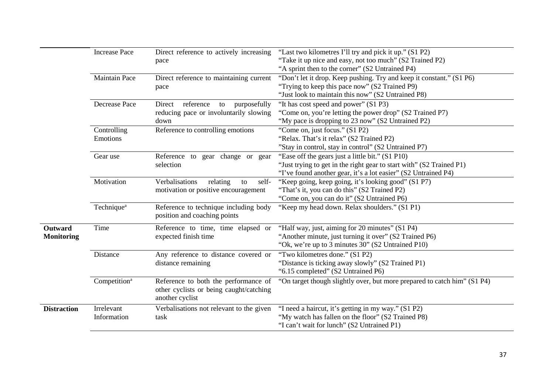|                    | <b>Increase Pace</b>     | Direct reference to actively increasing   | "Last two kilometres I'll try and pick it up." (S1 P2)                   |  |  |
|--------------------|--------------------------|-------------------------------------------|--------------------------------------------------------------------------|--|--|
|                    |                          | pace                                      | "Take it up nice and easy, not too much" (S2 Trained P2)                 |  |  |
|                    |                          |                                           | "A sprint then to the corner" (S2 Untrained P4)                          |  |  |
|                    | <b>Maintain Pace</b>     | Direct reference to maintaining current   | "Don't let it drop. Keep pushing. Try and keep it constant." (S1 P6)     |  |  |
|                    |                          | pace                                      | "Trying to keep this pace now" (S2 Trained P9)                           |  |  |
|                    |                          |                                           | "Just look to maintain this now" (S2 Untrained P8)                       |  |  |
|                    | <b>Decrease Pace</b>     | reference<br>purposefully<br>Direct<br>to | "It has cost speed and power" (S1 P3)                                    |  |  |
|                    |                          | reducing pace or involuntarily slowing    | "Come on, you're letting the power drop" (S2 Trained P7)                 |  |  |
|                    |                          | down                                      | "My pace is dropping to 23 now" (S2 Untrained P2)                        |  |  |
|                    | Controlling              | Reference to controlling emotions         | "Come on, just focus." (S1 P2)                                           |  |  |
|                    | Emotions                 |                                           | "Relax. That's it relax" (S2 Trained P2)                                 |  |  |
|                    |                          |                                           | "Stay in control, stay in control" (S2 Untrained P7)                     |  |  |
|                    | Gear use                 | Reference to gear change or gear          | "Ease off the gears just a little bit." (S1 P10)                         |  |  |
|                    |                          | selection                                 | "Just trying to get in the right gear to start with" (S2 Trained P1)     |  |  |
|                    |                          |                                           | "I've found another gear, it's a lot easier" (S2 Untrained P4)           |  |  |
|                    | Motivation               | Verbalisations<br>relating<br>self-<br>to | "Keep going, keep going, it's looking good" (S1 P7)                      |  |  |
|                    |                          | motivation or positive encouragement      | "That's it, you can do this" (S2 Trained P2)                             |  |  |
|                    |                          |                                           | "Come on, you can do it" (S2 Untrained P6)                               |  |  |
|                    | Technique <sup>a</sup>   | Reference to technique including body     | "Keep my head down. Relax shoulders." (S1 P1)                            |  |  |
|                    |                          | position and coaching points              |                                                                          |  |  |
| Outward            | Time                     | Reference to time, time elapsed or        | "Half way, just, aiming for 20 minutes" (S1 P4)                          |  |  |
| <b>Monitoring</b>  |                          | expected finish time                      | "Another minute, just turning it over" (S2 Trained P6)                   |  |  |
|                    |                          |                                           | "Ok, we're up to 3 minutes 30" (S2 Untrained P10)                        |  |  |
|                    | Distance                 | Any reference to distance covered or      | "Two kilometres done." (S1 P2)                                           |  |  |
|                    |                          | distance remaining                        | "Distance is ticking away slowly" (S2 Trained P1)                        |  |  |
|                    |                          |                                           | "6.15 completed" (S2 Untrained P6)                                       |  |  |
|                    | Competition <sup>a</sup> | Reference to both the performance of      | "On target though slightly over, but more prepared to catch him" (S1 P4) |  |  |
|                    |                          | other cyclists or being caught/catching   |                                                                          |  |  |
|                    |                          | another cyclist                           |                                                                          |  |  |
| <b>Distraction</b> | Irrelevant               | Verbalisations not relevant to the given  | "I need a haircut, it's getting in my way." (S1 P2)                      |  |  |
|                    | Information              | task                                      | "My watch has fallen on the floor" (S2 Trained P8)                       |  |  |
|                    |                          |                                           | "I can't wait for lunch" (S2 Untrained P1)                               |  |  |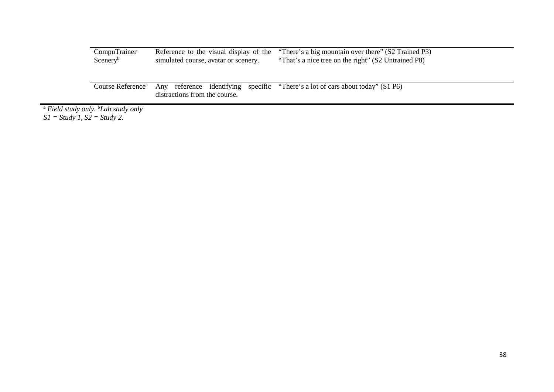| CompuTrainer         |                                      | Reference to the visual display of the "There's a big mountain over there" (S2 Trained P3) |
|----------------------|--------------------------------------|--------------------------------------------------------------------------------------------|
| Scenery <sup>b</sup> | simulated course, avatar or scenery. | "That's a nice tree on the right" (S2 Untrained P8)                                        |

Course Reference<sup>a</sup> Any reference identifying specific "There's a lot of cars about today" (S1 P6) distractions from the course.

<sup>a</sup> *Field study only.* <sup>b</sup> *Lab study only S1 = Study 1, S2 = Study 2.*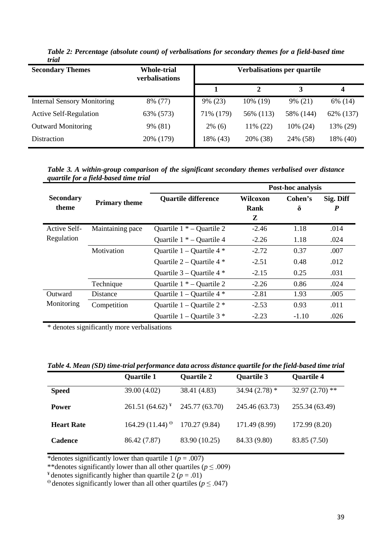| <b>Secondary Themes</b>            | <b>Whole-trial</b><br><b>verbalisations</b> | Verbalisations per quartile |           |           |           |
|------------------------------------|---------------------------------------------|-----------------------------|-----------|-----------|-----------|
|                                    |                                             |                             | 2         | 3         | 4         |
| <b>Internal Sensory Monitoring</b> | 8% (77)                                     | 9% (23)                     | 10% (19)  | 9% (21)   | 6% (14)   |
| <b>Active Self-Regulation</b>      | 63% (573)                                   | 71% (179)                   | 56% (113) | 58% (144) | 62% (137) |
| <b>Outward Monitoring</b>          | 9% (81)                                     | $2\%$ (6)                   | 11% (22)  | 10% (24)  | 13% (29)  |
| Distraction                        | 20% (179)                                   | 18% (43)                    | 20% (38)  | 24% (58)  | 18% (40)  |

*Table 2: Percentage (absolute count) of verbalisations for secondary themes for a field-based time trial*

*Table 3. A within-group comparison of the significant secondary themes verbalised over distance quartile for a field-based time trial*

|                           |                      | Post-hoc analysis             |                       |              |                               |  |
|---------------------------|----------------------|-------------------------------|-----------------------|--------------|-------------------------------|--|
| <b>Secondary</b><br>theme | <b>Primary theme</b> | <b>Quartile difference</b>    | Wilcoxon<br>Rank<br>Z | Cohen's<br>δ | Sig. Diff<br>$\boldsymbol{P}$ |  |
| Active Self-              | Maintaining pace     | Quartile $1 * -$ Quartile 2   | $-2.46$               | 1.18         | .014                          |  |
| Regulation                |                      | Quartile $1 * -$ Quartile 4   | $-2.26$               | 1.18         | .024                          |  |
|                           | Motivation           | Quartile $1 -$ Quartile 4 $*$ | $-2.72$               | 0.37         | .007                          |  |
|                           |                      | Quartile $2$ – Quartile 4 $*$ | $-2.51$               | 0.48         | .012                          |  |
|                           |                      | Quartile $3$ – Quartile 4 $*$ | $-2.15$               | 0.25         | .031                          |  |
|                           | Technique            | Quartile $1 * -$ Quartile 2   | $-2.26$               | 0.86         | .024                          |  |
| Outward                   | Distance             | Quartile $1 -$ Quartile 4 $*$ | $-2.81$               | 1.93         | .005                          |  |
| Monitoring                | Competition          | Quartile $1 -$ Quartile $2$ * | $-2.53$               | 0.93         | .011                          |  |
|                           |                      | Quartile $1 -$ Quartile $3$ * | $-2.23$               | $-1.10$      | .026                          |  |

\* denotes significantly more verbalisations

*Table 4. Mean (SD) time-trial performance data across distance quartile for the field-based time trial*

|                   | <b>Quartile 1</b>                              | <b>Quartile 2</b> | <b>Quartile 3</b> | <b>Quartile 4</b> |
|-------------------|------------------------------------------------|-------------------|-------------------|-------------------|
| <b>Speed</b>      | 39.00 (4.02)                                   | 38.41 (4.83)      | 34.94 $(2.78)$ *  | $32.97(2.70)$ **  |
| <b>Power</b>      | $261.51(64.62)^{*}$                            | 245.77 (63.70)    | 245.46 (63.73)    | 255.34 (63.49)    |
| <b>Heart Rate</b> | $164.29(11.44)$ <sup><math>\theta</math></sup> | 170.27 (9.84)     | 171.49 (8.99)     | 172.99 (8.20)     |
| <b>Cadence</b>    | 86.42 (7.87)                                   | 83.90 (10.25)     | 84.33 (9.80)      | 83.85 (7.50)      |

\*denotes significantly lower than quartile 1 ( $p = .007$ )

\*\*denotes significantly lower than all other quartiles ( $p \leq .009$ )

<sup>¥</sup> denotes significantly higher than quartile 2  $(p = .01)$ 

 $\theta$  denotes significantly lower than all other quartiles ( $p \leq .047$ )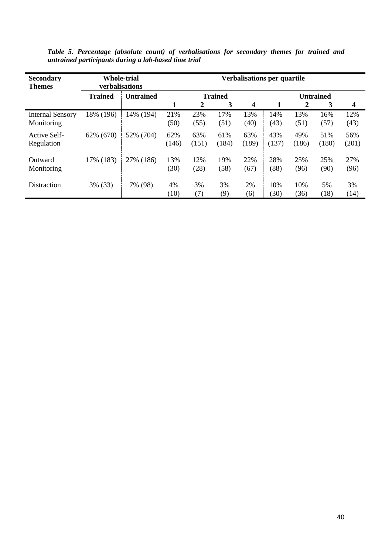*Table 5. Percentage (absolute count) of verbalisations for secondary themes for trained and untrained participants during a lab-based time trial*

| <b>Secondary</b><br><b>Themes</b>     | <b>Whole-trial</b><br>verbalisations |                  | Verbalisations per quartile |              |                |              |              |              |                  |              |
|---------------------------------------|--------------------------------------|------------------|-----------------------------|--------------|----------------|--------------|--------------|--------------|------------------|--------------|
|                                       | <b>Trained</b>                       | <b>Untrained</b> |                             |              | <b>Trained</b> |              |              |              | <b>Untrained</b> |              |
|                                       |                                      |                  | 1                           | 2            | 3              | 4            | 1            | 2            | 3                | 4            |
| <b>Internal Sensory</b><br>Monitoring | 18% (196)                            | 14% (194)        | 21%<br>(50)                 | 23%<br>(55)  | 17%<br>(51)    | 13%<br>(40)  | 14%<br>(43)  | 13%<br>(51)  | 16%<br>(57)      | 12%<br>(43)  |
| Active Self-<br>Regulation            | 62% (670)                            | 52% (704)        | 62%<br>(146)                | 63%<br>(151) | 61%<br>(184)   | 63%<br>(189) | 43%<br>(137) | 49%<br>(186) | 51%<br>(180)     | 56%<br>(201) |
| Outward<br>Monitoring                 | 17% (183)                            | 27% (186)        | 13%<br>(30)                 | 12%<br>(28)  | 19%<br>(58)    | 22%<br>(67)  | 28%<br>(88)  | 25%<br>(96)  | 25%<br>(90)      | 27%<br>(96)  |
| Distraction                           | 3% (33)                              | 7% (98)          | 4%<br>(10)                  | 3%<br>(7)    | 3%<br>(9)      | 2%<br>(6)    | 10%<br>(30)  | 10%<br>(36)  | 5%<br>(18)       | 3%<br>(14)   |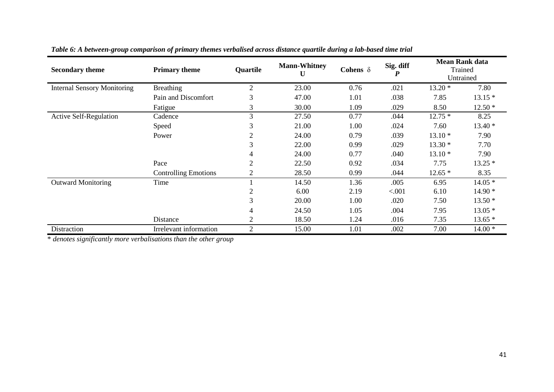| <b>Secondary theme</b>             | <b>Primary theme</b>        | <b>Quartile</b> | <b>Mann-Whitney</b><br>U | Cohens $\delta$ | Sig. diff<br>$\boldsymbol{P}$ |          | <b>Mean Rank data</b><br>Trained<br>Untrained |
|------------------------------------|-----------------------------|-----------------|--------------------------|-----------------|-------------------------------|----------|-----------------------------------------------|
| <b>Internal Sensory Monitoring</b> | <b>Breathing</b>            | $\overline{2}$  | 23.00                    | 0.76            | .021                          | $13.20*$ | 7.80                                          |
|                                    | Pain and Discomfort         | 3               | 47.00                    | 1.01            | .038                          | 7.85     | $13.15*$                                      |
|                                    | Fatigue                     | 3               | 30.00                    | 1.09            | .029                          | 8.50     | $12.50*$                                      |
| <b>Active Self-Regulation</b>      | Cadence                     | 3               | 27.50                    | 0.77            | .044                          | $12.75*$ | 8.25                                          |
|                                    | Speed                       | 3               | 21.00                    | 1.00            | .024                          | 7.60     | $13.40*$                                      |
|                                    | Power                       | $\mathfrak{2}$  | 24.00                    | 0.79            | .039                          | $13.10*$ | 7.90                                          |
|                                    |                             | 3               | 22.00                    | 0.99            | .029                          | $13.30*$ | 7.70                                          |
|                                    |                             | 4               | 24.00                    | 0.77            | .040                          | $13.10*$ | 7.90                                          |
|                                    | Pace                        | 2               | 22.50                    | 0.92            | .034                          | 7.75     | $13.25*$                                      |
|                                    | <b>Controlling Emotions</b> | $\overline{2}$  | 28.50                    | 0.99            | .044                          | $12.65*$ | 8.35                                          |
| <b>Outward Monitoring</b>          | Time                        |                 | 14.50                    | 1.36            | .005                          | 6.95     | $14.05*$                                      |
|                                    |                             | $\overline{2}$  | 6.00                     | 2.19            | < .001                        | 6.10     | $14.90*$                                      |
|                                    |                             | 3               | 20.00                    | 1.00            | .020                          | 7.50     | $13.50*$                                      |
|                                    |                             | 4               | 24.50                    | 1.05            | .004                          | 7.95     | $13.05*$                                      |
|                                    | Distance                    | $\overline{2}$  | 18.50                    | 1.24            | .016                          | 7.35     | $13.65*$                                      |
| Distraction                        | Irrelevant information      | $\overline{2}$  | 15.00                    | 1.01            | .002                          | 7.00     | $14.00*$                                      |

## *Table 6: A between-group comparison of primary themes verbalised across distance quartile during a lab-based time trial*

\* *denotes significantly more verbalisations than the other group*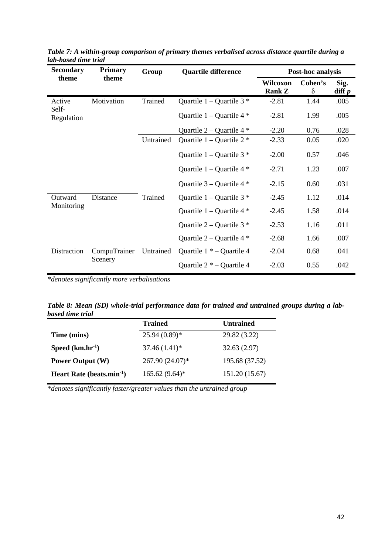| <b>Secondary</b>      | Primary                 | Group     | <b>Quartile difference</b>    |                           | Post-hoc analysis   |                                 |
|-----------------------|-------------------------|-----------|-------------------------------|---------------------------|---------------------|---------------------------------|
| theme                 | theme                   |           |                               | Wilcoxon<br><b>Rank Z</b> | Cohen's<br>$\delta$ | Sig.<br>$\operatorname{diff} p$ |
| Active<br>Self-       | Motivation              | Trained   | Quartile $1 -$ Quartile $3 *$ | $-2.81$                   | 1.44                | .005                            |
| Regulation            |                         |           | Quartile $1 -$ Quartile 4 $*$ | $-2.81$                   | 1.99                | .005                            |
|                       |                         |           | Quartile $2$ – Quartile 4 $*$ | $-2.20$                   | 0.76                | .028                            |
|                       |                         | Untrained | Quartile $1 -$ Quartile $2 *$ | $-2.33$                   | 0.05                | .020                            |
|                       |                         |           | Quartile $1 -$ Quartile $3$ * | $-2.00$                   | 0.57                | .046                            |
|                       |                         |           | Quartile $1 -$ Quartile $4 *$ | $-2.71$                   | 1.23                | .007                            |
|                       |                         |           | Quartile $3 -$ Quartile 4 $*$ | $-2.15$                   | 0.60                | .031                            |
| Outward<br>Monitoring | Distance                | Trained   | Quartile $1 -$ Quartile $3$ * | $-2.45$                   | 1.12                | .014                            |
|                       |                         |           | Quartile $1 -$ Quartile 4 $*$ | $-2.45$                   | 1.58                | .014                            |
|                       |                         |           | Quartile $2 -$ Quartile $3 *$ | $-2.53$                   | 1.16                | .011                            |
|                       |                         |           | Quartile $2 -$ Quartile 4 $*$ | $-2.68$                   | 1.66                | .007                            |
| Distraction           | CompuTrainer<br>Scenery | Untrained | Quartile $1 * -$ Quartile 4   | $-2.04$                   | 0.68                | .041                            |
|                       |                         |           | Quartile $2 * -$ Quartile 4   | $-2.03$                   | 0.55                | .042                            |

*Table 7: A within-group comparison of primary themes verbalised across distance quartile during a lab-based time trial*

*\*denotes significantly more verbalisations* 

*Table 8: Mean (SD) whole-trial performance data for trained and untrained groups during a labbased time trial*

|                                 | <b>Trained</b>   | <b>Untrained</b> |
|---------------------------------|------------------|------------------|
| Time (mins)                     | $25.94(0.89)$ *  | 29.82 (3.22)     |
| Speed $(km/hr^{-1})$            | $37.46(1.41)^*$  | 32.63(2.97)      |
| <b>Power Output (W)</b>         | 267.90 (24.07)*  | 195.68 (37.52)   |
| Heart Rate (beats.min $^{-1}$ ) | $165.62(9.64)$ * | 151.20 (15.67)   |

*\*denotes significantly faster/greater values than the untrained group*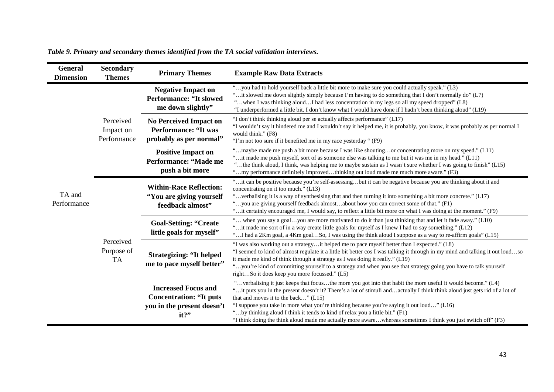| General<br><b>Dimension</b> | <b>Secondary</b><br><b>Themes</b>     | <b>Primary Themes</b>                                                                      | <b>Example Raw Data Extracts</b>                                                                                                                                                                                                                                                                                                                                                                                                                                                  |                                                                                                                                                                                                                                                                                                                                |
|-----------------------------|---------------------------------------|--------------------------------------------------------------------------------------------|-----------------------------------------------------------------------------------------------------------------------------------------------------------------------------------------------------------------------------------------------------------------------------------------------------------------------------------------------------------------------------------------------------------------------------------------------------------------------------------|--------------------------------------------------------------------------------------------------------------------------------------------------------------------------------------------------------------------------------------------------------------------------------------------------------------------------------|
|                             |                                       | <b>Negative Impact on</b><br><b>Performance: "It slowed</b><br>me down slightly"           | "you had to hold yourself back a little bit more to make sure you could actually speak." (L3)<br>it slowed me down slightly simply because I'm having to do something that I don't normally do" (L7).<br>"when I was thinking aloudI had less concentration in my legs so all my speed dropped" (L8)<br>"I underperformed a little bit. I don't know what I would have done if I hadn't been thinking aloud" (L19)                                                                |                                                                                                                                                                                                                                                                                                                                |
| TA and<br>Performance       | Perceived<br>Impact on<br>Performance | <b>No Perceived Impact on</b><br><b>Performance: "It was</b><br>probably as per normal"    | "I don't think thinking aloud per se actually affects performance" (L17)<br>"I wouldn't say it hindered me and I wouldn't say it helped me, it is probably, you know, it was probably as per normal I<br>would think." (F8)<br>"I'm not too sure if it benefited me in my race yesterday" (F9)                                                                                                                                                                                    |                                                                                                                                                                                                                                                                                                                                |
|                             |                                       | <b>Positive Impact on</b><br>Performance: "Made me<br>push a bit more                      | "maybe made me push a bit more because I was like shoutingor concentrating more on my speed." (L11)<br>"it made me push myself, sort of as someone else was talking to me but it was me in my head." (L11)<br>"the think aloud, I think, was helping me to maybe sustain as I wasn't sure whether I was going to finish" (L15)<br>"my performance definitely improvedthinking out loud made me much more aware." (F3)                                                             |                                                                                                                                                                                                                                                                                                                                |
|                             | Perceived<br>Purpose of<br><b>TA</b>  | <b>Within-Race Reflection:</b><br>"You are giving yourself<br>feedback almost"             | "it can be positive because you're self-assessingbut it can be negative because you are thinking about it and<br>concentrating on it too much." (L13)<br>"verbalising it is a way of synthesising that and then turning it into something a bit more concrete." (L17)<br>"you are giving yourself feedback almostabout how you can correct some of that." (F1)<br>"it certainly encouraged me, I would say, to reflect a little bit more on what I was doing at the moment." (F9) |                                                                                                                                                                                                                                                                                                                                |
|                             |                                       |                                                                                            | <b>Goal-Setting: "Create</b><br>little goals for myself"                                                                                                                                                                                                                                                                                                                                                                                                                          | " when you say a goalyou are more motivated to do it than just thinking that and let it fade away." (L10)<br>"it made me sort of in a way create little goals for myself as I knew I had to say something." (L12)<br>"I had a 2Km goal, a 4Km goalSo, I was using the think aloud I suppose as a way to re-affirm goals" (L15) |
|                             |                                       | <b>Strategizing: "It helped</b><br>me to pace myself better"                               | "I was also working out a strategyit helped me to pace myself better than I expected." (L8)<br>"I seemed to kind of almost regulate it a little bit better cos I was talking it through in my mind and talking it out loudso<br>it made me kind of think through a strategy as I was doing it really." (L19)<br>"you're kind of committing yourself to a strategy and when you see that strategy going you have to talk yourself<br>rightSo it does keep you more focussed." (L5) |                                                                                                                                                                                                                                                                                                                                |
|                             |                                       | <b>Increased Focus and</b><br><b>Concentration: "It puts</b><br>you in the present doesn't | "verbalising it just keeps that focusthe more you got into that habit the more useful it would become." (L4)<br>"it puts you in the present doesn't it? There's a lot of stimuli andactually I think think aloud just gets rid of a lot of<br>that and moves it to the back" (L15)<br>"I suppose you take in more what you're thinking because you're saying it out loud" (L16)<br>"by thinking aloud I think it tends to kind of relax you a little bit." (F1)                   |                                                                                                                                                                                                                                                                                                                                |
|                             |                                       | it?"                                                                                       | "I think doing the think aloud made me actually more awarewhereas sometimes I think you just switch off" (F3)                                                                                                                                                                                                                                                                                                                                                                     |                                                                                                                                                                                                                                                                                                                                |

## *Table 9. Primary and secondary themes identified from the TA social validation interviews.*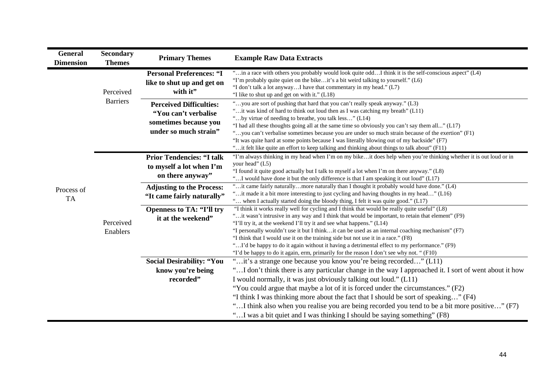| <b>General</b><br><b>Dimension</b> | <b>Secondary</b><br><b>Themes</b> | <b>Primary Themes</b>                                                                                    | <b>Example Raw Data Extracts</b>                                                                                                                                                                                                                                                                                                                                                                                                                                                                                                                                                                                                                                |
|------------------------------------|-----------------------------------|----------------------------------------------------------------------------------------------------------|-----------------------------------------------------------------------------------------------------------------------------------------------------------------------------------------------------------------------------------------------------------------------------------------------------------------------------------------------------------------------------------------------------------------------------------------------------------------------------------------------------------------------------------------------------------------------------------------------------------------------------------------------------------------|
|                                    | Perceived                         | <b>Personal Preferences: "I</b><br>like to shut up and get on<br>with it"                                | "in a race with others you probably would look quite oddI think it is the self-conscious aspect" (L4)<br>"I'm probably quite quiet on the bikeit's a bit weird talking to yourself." (L6)<br>"I don't talk a lot anywayI have that commentary in my head." (L7)<br>"I like to shut up and get on with it." (L18)                                                                                                                                                                                                                                                                                                                                                |
| <b>Barriers</b>                    |                                   | <b>Perceived Difficulties:</b><br>"You can't verbalise<br>sometimes because you<br>under so much strain" | "you are sort of pushing that hard that you can't really speak anyway." (L3)<br>"it was kind of hard to think out loud then as I was catching my breath" (L11)<br>"by virtue of needing to breathe, you talk less" (L14)<br>"I had all these thoughts going all at the same time so obviously you can't say them all" (L17)<br>"you can't verbalise sometimes because you are under so much strain because of the exertion" (F1)<br>"It was quite hard at some points because I was literally blowing out of my backside" (F7)<br>"it felt like quite an effort to keep talking and thinking about things to talk about" (F11)                                  |
|                                    |                                   | <b>Prior Tendencies: "I talk</b><br>to myself a lot when I'm<br>on there anyway"                         | "I'm always thinking in my head when I'm on my bikeit does help when you're thinking whether it is out loud or in<br>your head" (L5)<br>"I found it quite good actually but I talk to myself a lot when I'm on there anyway." (L8)<br>" I would have done it but the only difference is that I am speaking it out loud" (L17)                                                                                                                                                                                                                                                                                                                                   |
| Process of<br><b>TA</b>            |                                   | <b>Adjusting to the Process:</b><br>"It came fairly naturally"                                           | "it came fairly naturallymore naturally than I thought it probably would have done." (L4)<br>"it made it a bit more interesting to just cycling and having thoughts in my head" (L16)<br>" when I actually started doing the bloody thing, I felt it was quite good." (L17)                                                                                                                                                                                                                                                                                                                                                                                     |
|                                    | Perceived<br>Enablers             | <b>Openness to TA: "I'll try</b><br>it at the weekend"                                                   | "I think it works really well for cycling and I think that would be really quite useful" (L8)<br>"it wasn't intrusive in any way and I think that would be important, to retain that element" (F9)<br>"I'll try it, at the weekend I'll try it and see what happens." (L14)<br>"I personally wouldn't use it but I thinkit can be used as an internal coaching mechanism" (F7)<br>"I think that I would use it on the training side but not use it in a race." (F8)<br>"I'd be happy to do it again without it having a detrimental effect to my performance." (F9)<br>"I'd be happy to do it again, erm, primarily for the reason I don't see why not. " (F10) |
|                                    |                                   | <b>Social Desirability: "You</b><br>know you're being<br>recorded"                                       | "it's a strange one because you know you're being recorded" (L11)<br>" I don't think there is any particular change in the way I approached it. I sort of went about it how<br>I would normally, it was just obviously talking out loud." (L11)<br>"You could argue that maybe a lot of it is forced under the circumstances." (F2)<br>"I think I was thinking more about the fact that I should be sort of speaking" (F4)<br>"I think also when you realise you are being recorded you tend to be a bit more positive" (F7)<br>"I was a bit quiet and I was thinking I should be saying something" (F8)                                                        |